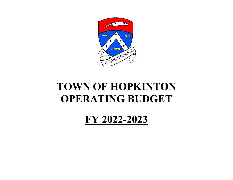

# **TOWN OF HOPKINTONOPERATING BUDGET**

**FY 2022-2023**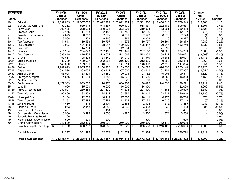| <b>EXPENSE</b> |                                     | FY 19/20        |      | FY 19/20        |   | FY 20/21        | FY 20/21        | FY 21/22                                                | FY 21/22        | FY 22/23        |     | Change    |         |  |
|----------------|-------------------------------------|-----------------|------|-----------------|---|-----------------|-----------------|---------------------------------------------------------|-----------------|-----------------|-----|-----------|---------|--|
|                |                                     | <b>Budget</b>   |      | <b>Actual</b>   |   | <b>Budget</b>   | <b>Actual</b>   | <b>Budget</b>                                           | 12/31/2020      | <b>Budget</b>   |     | From      | $\%$    |  |
| <b>Pages</b>   |                                     | <b>Expenses</b> |      | <b>Expenses</b> |   | <b>Expenses</b> | <b>Expenses</b> | <b>Expenses</b>                                         | <b>Expenses</b> | <b>Expenses</b> |     | FY 21/22  | Change  |  |
| 40             | Education                           | 19,337,865      |      | \$19,337,865    |   | \$20,092,924    | \$20,092,924    | \$<br>20,561,560                                        | \$9,458,318     | $20,778,343$ \$ |     | 216,783   | 1.1%    |  |
| 5,6            | <b>General Government</b>           | 452,282         |      | 559,915         |   | 518,857         | 559,470         | 518,857                                                 | 252,485         | 506,567         |     | (12, 291) | $-2.4%$ |  |
| 7,8            | <b>Town Clerk</b>                   | 290,185         |      | 298,633         |   | 319,964         | 323,903         | 319,964                                                 | 153,091         | 339,490         |     | 19,526    | 6.1%    |  |
| 9              | <b>Probate Court</b>                | 12,156          |      | 14,558          |   | 12,156          | 14,752          | 12,156                                                  | 7,546           | 12,112          |     | (44)      | $-0.4%$ |  |
| 9              | <b>Board of Canvassers</b>          | 7,679           |      | 6,816           |   | 7,579           | 6,719           | 7,579                                                   | 6,678           | 7,578           |     | (1)       | 0.0%    |  |
| 9              | Elections                           | 8,568           |      | 2,939           |   | 8,968           | 1,983           | 8,968                                                   | 18              | 8,977           |     | 9         | 0.1%    |  |
| 10,11          | <b>Tax Assessor</b>                 | 141,543         |      | 139,138         |   | 139,797         | 141,675         | 139,797                                                 | 66,894          | 156,879         |     | 17,082    | 12.2%   |  |
| 12, 13         | <b>Tax Collector</b>                | 118,003         |      | 131,418         |   | 128,817         | 129,520         | 128,817                                                 | 70,917          | 133,749         |     | 4,932     | 3.8%    |  |
| 13             | <b>Tax Sale</b>                     | 1               |      | 14,784          |   | -1              | 12,834          | 1                                                       | 21,997          |                 |     |           | 0.0%    |  |
| 14,15          | Finance                             | 211,264         |      | 234,020         |   | 237,166         | 241,442         | 237,166                                                 | 118,388         | 234,783         |     | (2, 383)  | $-1.0%$ |  |
| 16,17          | Debt Service                        | 388,449         |      | 448,464         |   | 543,031         | 541,568         | 543,031                                                 | 159,131         | 530,021         |     | (13,009)  | $-2.4%$ |  |
| 18,19          | GIS/IT                              | 109,664         |      | 128,403         |   | 134,549         | 135,910         | 134,549                                                 | 98,886          | 169,997         |     | 35,448    | 26.3%   |  |
| 20,21          | Building/Zoning                     | 138,389         |      | 180,067         |   | 212,055         | 216,102         | 212,055                                                 | 110,608         | 213,418         |     | 1,363     | 0.6%    |  |
| 22,23          | Planner                             | 140,660         |      | 129,306         |   | 146,033         | 147,614         | 146,033                                                 | 72,716          | 147,884         |     | 1,851     | 1.3%    |  |
| 24-26          | Police                              | 1,989,819       |      | 2,085,968       |   | 2,154,223       | 2,159,038       | 2,154,223                                               | 1,026,893       | 2,263,148       |     | 108,925   | 5.1%    |  |
| 27,28          | <b>Dispatchers</b>                  | 334,598         |      | 363,654         |   | 353,441         | 357,600         | 353,441                                                 | 161,254         | 337,387         |     | (16, 054) | $-4.5%$ |  |
| 29,30          | <b>Animal Control</b>               | 68,028          |      | 83,699          |   | 93,182          | 90,931          | 93,182                                                  | 45,901          | 99,811          |     | 6,629     | 7.1%    |  |
| 31,32          | Emergency Mgmt.                     | 14,656          |      | 14,054          |   | 14,656          | 15,272          | 14,656                                                  | 8,882           | 16,808          |     | 2,152     | 14.7%   |  |
| 32             | <b>Welfare Director</b>             |                 |      |                 |   | 50              | 322             | 50                                                      | 50              | 50              |     |           | 0.0%    |  |
| 33-34          | <b>Public Works</b>                 | 1,177,569       |      | 1,083,605       |   | 1,170,473       | 1,060,952       | 1,170,473                                               | 544,756         | 1,198,591       |     | 28,119    | 2.4%    |  |
| 35             | Landfill                            | 14,000          |      | 15,000          |   | 16,000          | 16,000          | 16,000                                                  |                 | 22,000          |     | 6,000     | 37.5%   |  |
| 36-39          | Parks & Recreation                  | 280,927         |      | 280,456         |   | 297,630         | 178,873         | 297,630                                                 | 147,681         | 300,509         |     | 2,880     | 1.0%    |  |
| 41,42          | Town Manager                        | 160,409         |      | 163,809         |   | 174,811         | 98,659          | 174,811                                                 | 23,211          | 210,940         |     | 36,129    | 20.7%   |  |
| 43,44          | <b>Municipal Court</b>              | 16,164          |      | 12,708          |   | 18,111          | 17,080          | 18,111                                                  | 8,475           | 18,786          |     | 676       | 3.7%    |  |
| 45,46          | <b>Town Council</b>                 | 17,151          |      | 17,285          |   | 17,151          | 13,722          | 17,151                                                  | 6,929           | 17,142          |     | (9)       | $-0.1%$ |  |
| 47,48          | <b>Zoning Board</b>                 | 4,480           |      | 1,413           |   | 2,404           | 2,153           | 2,404                                                   | (1,672)         | 3,489           |     | 1,085     | 45.1%   |  |
| 48             | <b>Planning Board</b>               | 3,053           |      | 2,148           |   | 3,053           | 3,230           | 3,053                                                   | 1,938           | 4,138           |     | 1,085     | 35.5%   |  |
| 49             | <b>Tax Board of Review</b>          | 431             |      |                 |   | 431             | 215             | 431                                                     |                 | 431             |     |           | 0.0%    |  |
| 49             | <b>Conservation Commission</b>      | 3,500           |      | 3,492           |   | 3,500           | 3,480           | 3,500                                                   | 374             | 3,500           |     |           | 0.0%    |  |
| 49             | Juvenile Hearing Board              | 100             |      |                 |   |                 |                 |                                                         |                 |                 |     |           | n.m.    |  |
| 49             | <b>Historic District Commission</b> | 500             |      | 500             |   | 500             |                 | 500                                                     |                 | 500             |     |           | 0.0%    |  |
| 50             | Grants/Contributions                | 242,500         |      | 242,500         |   | 250,000         | 250,000         | 250,000                                                 | 132,170         | 250,000         |     |           | 0.0%    |  |
|                | Total Municipal Oper. Exp.          | \$<br>6,346,729 | - \$ | 6,658,752       | န | 6,978,588       | \$<br>6,741,020 | \$<br>6,978,588                                         | \$<br>3,246,196 | \$<br>7,208,686 | -\$ | 230,098   | 3.3%    |  |
|                | <b>Capital Transfer</b>             | 454,277         |      | 301,995         |   | 132,374         | \$132,374       | 132,374                                                 | 132,374         | 280,794         |     | 148,419   | 112.1%  |  |
|                | <b>Total Town Expense</b>           | \$26,138,871    |      |                 |   |                 |                 | $$26,298,612$ $$27,203,887$ $$26,966,318$ $$27,672,522$ | \$12,836,888    | \$28,267,822    | \$  | 595,299   | 2.2%    |  |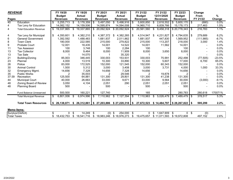| <b>REVENUE</b>                 |                                                                                                                                                                                                                              | FY 19/20  |                                                                                                                                                                 | FY 19/20                    |                                                                                                                                     | FY 20/21                                                         | FY 20/21                                                                                                                                                                 |                                                                                                                                           | FY 21/22                                                              |                                                                                                                                                 |                                |                                                                                                                                                                        |           |                                                                                                                                              |                                                                                                                            |                                                                                                   |
|--------------------------------|------------------------------------------------------------------------------------------------------------------------------------------------------------------------------------------------------------------------------|-----------|-----------------------------------------------------------------------------------------------------------------------------------------------------------------|-----------------------------|-------------------------------------------------------------------------------------------------------------------------------------|------------------------------------------------------------------|--------------------------------------------------------------------------------------------------------------------------------------------------------------------------|-------------------------------------------------------------------------------------------------------------------------------------------|-----------------------------------------------------------------------|-------------------------------------------------------------------------------------------------------------------------------------------------|--------------------------------|------------------------------------------------------------------------------------------------------------------------------------------------------------------------|-----------|----------------------------------------------------------------------------------------------------------------------------------------------|----------------------------------------------------------------------------------------------------------------------------|---------------------------------------------------------------------------------------------------|
|                                |                                                                                                                                                                                                                              |           |                                                                                                                                                                 |                             |                                                                                                                                     |                                                                  |                                                                                                                                                                          |                                                                                                                                           |                                                                       |                                                                                                                                                 |                                |                                                                                                                                                                        |           |                                                                                                                                              |                                                                                                                            | %<br>Change                                                                                       |
|                                |                                                                                                                                                                                                                              |           |                                                                                                                                                                 |                             |                                                                                                                                     |                                                                  |                                                                                                                                                                          |                                                                                                                                           |                                                                       |                                                                                                                                                 |                                |                                                                                                                                                                        |           |                                                                                                                                              |                                                                                                                            | $0.0\%$                                                                                           |
|                                |                                                                                                                                                                                                                              |           |                                                                                                                                                                 |                             |                                                                                                                                     |                                                                  |                                                                                                                                                                          |                                                                                                                                           |                                                                       |                                                                                                                                                 |                                |                                                                                                                                                                        |           |                                                                                                                                              |                                                                                                                            | 1.5%                                                                                              |
|                                |                                                                                                                                                                                                                              |           |                                                                                                                                                                 |                             |                                                                                                                                     |                                                                  |                                                                                                                                                                          |                                                                                                                                           |                                                                       |                                                                                                                                                 |                                |                                                                                                                                                                        |           |                                                                                                                                              |                                                                                                                            | 1.1%                                                                                              |
|                                |                                                                                                                                                                                                                              |           |                                                                                                                                                                 |                             |                                                                                                                                     |                                                                  |                                                                                                                                                                          |                                                                                                                                           |                                                                       |                                                                                                                                                 |                                |                                                                                                                                                                        |           |                                                                                                                                              |                                                                                                                            |                                                                                                   |
|                                | \$                                                                                                                                                                                                                           |           |                                                                                                                                                                 |                             |                                                                                                                                     | 4,387,372                                                        | \$                                                                                                                                                                       |                                                                                                                                           |                                                                       | -\$                                                                                                                                             |                                | \$                                                                                                                                                                     |           |                                                                                                                                              | 279.689                                                                                                                    | 6.2%                                                                                              |
| <b>General Government</b>      |                                                                                                                                                                                                                              | 1,392,592 |                                                                                                                                                                 | 1,488,483                   |                                                                                                                                     | 1,681,937                                                        | 2,011,862                                                                                                                                                                |                                                                                                                                           | 1,681,937                                                             |                                                                                                                                                 | 447,830                        |                                                                                                                                                                        | 1,569,952 |                                                                                                                                              | (111, 985)                                                                                                                 | $-6.7%$                                                                                           |
| <b>Town Clerk</b>              |                                                                                                                                                                                                                              | 180,000   |                                                                                                                                                                 | 222,585                     |                                                                                                                                     | 215,000                                                          | 279,822                                                                                                                                                                  |                                                                                                                                           | 215,000                                                               |                                                                                                                                                 | 113,207                        |                                                                                                                                                                        | 218,000   |                                                                                                                                              |                                                                                                                            | 1.4%                                                                                              |
| <b>Probate Court</b>           |                                                                                                                                                                                                                              |           |                                                                                                                                                                 |                             |                                                                                                                                     |                                                                  |                                                                                                                                                                          |                                                                                                                                           |                                                                       |                                                                                                                                                 |                                |                                                                                                                                                                        |           |                                                                                                                                              |                                                                                                                            | 0.0%                                                                                              |
| <b>Tax Assessor</b>            |                                                                                                                                                                                                                              | 100       |                                                                                                                                                                 | 3,748                       |                                                                                                                                     | 100                                                              | 2,284                                                                                                                                                                    |                                                                                                                                           | 100                                                                   |                                                                                                                                                 |                                |                                                                                                                                                                        | 100       |                                                                                                                                              |                                                                                                                            | 0.0%                                                                                              |
| <b>Tax Collector</b>           |                                                                                                                                                                                                                              | 8,000     |                                                                                                                                                                 | 9,464                       |                                                                                                                                     | 8,000                                                            | 11,909                                                                                                                                                                   |                                                                                                                                           | 8,000                                                                 |                                                                                                                                                 | 3,650                          |                                                                                                                                                                        | 8,000     |                                                                                                                                              |                                                                                                                            | 0.0%                                                                                              |
| <b>Tax Sale</b>                |                                                                                                                                                                                                                              |           |                                                                                                                                                                 | 14,070                      |                                                                                                                                     |                                                                  | 35,320                                                                                                                                                                   |                                                                                                                                           |                                                                       |                                                                                                                                                 |                                |                                                                                                                                                                        |           |                                                                                                                                              |                                                                                                                            | 0.0%                                                                                              |
| Building/Zoning                |                                                                                                                                                                                                                              | 85,003    |                                                                                                                                                                 | 346,445                     |                                                                                                                                     | 330,003                                                          | 153,931                                                                                                                                                                  |                                                                                                                                           | 330,003                                                               |                                                                                                                                                 | 75,991                         |                                                                                                                                                                        | 252,498   |                                                                                                                                              | (77, 505)                                                                                                                  | $-23.5%$                                                                                          |
| Planner                        |                                                                                                                                                                                                                              | 4,000     |                                                                                                                                                                 | 13,519                      |                                                                                                                                     | 10,300                                                           | 33,890                                                                                                                                                                   |                                                                                                                                           | 10,300                                                                |                                                                                                                                                 | 5,607                          |                                                                                                                                                                        | 17,000    |                                                                                                                                              | 6,700                                                                                                                      | 65.0%                                                                                             |
| Police                         |                                                                                                                                                                                                                              | 83,000    |                                                                                                                                                                 | 172,525                     |                                                                                                                                     | 152,000                                                          | 121,545                                                                                                                                                                  |                                                                                                                                           | 152,000                                                               |                                                                                                                                                 | 60,343                         |                                                                                                                                                                        | 152,000   |                                                                                                                                              |                                                                                                                            | 0.0%                                                                                              |
|                                |                                                                                                                                                                                                                              |           |                                                                                                                                                                 |                             |                                                                                                                                     | 3,000                                                            |                                                                                                                                                                          |                                                                                                                                           |                                                                       |                                                                                                                                                 |                                |                                                                                                                                                                        |           |                                                                                                                                              |                                                                                                                            | 33.3%                                                                                             |
| Emergency Mgmt.                |                                                                                                                                                                                                                              | 14,656    |                                                                                                                                                                 | 7,328                       |                                                                                                                                     | 14,656                                                           |                                                                                                                                                                          |                                                                                                                                           | 14,656                                                                |                                                                                                                                                 |                                |                                                                                                                                                                        |           |                                                                                                                                              |                                                                                                                            | 0.0%                                                                                              |
| <b>Public Works</b>            |                                                                                                                                                                                                                              | 2         |                                                                                                                                                                 |                             |                                                                                                                                     |                                                                  |                                                                                                                                                                          |                                                                                                                                           |                                                                       |                                                                                                                                                 |                                |                                                                                                                                                                        |           |                                                                                                                                              |                                                                                                                            | 0.0%                                                                                              |
|                                |                                                                                                                                                                                                                              |           |                                                                                                                                                                 |                             |                                                                                                                                     |                                                                  |                                                                                                                                                                          |                                                                                                                                           |                                                                       |                                                                                                                                                 |                                |                                                                                                                                                                        |           |                                                                                                                                              |                                                                                                                            | 0.0%                                                                                              |
|                                |                                                                                                                                                                                                                              |           |                                                                                                                                                                 |                             |                                                                                                                                     |                                                                  |                                                                                                                                                                          |                                                                                                                                           |                                                                       |                                                                                                                                                 |                                |                                                                                                                                                                        |           |                                                                                                                                              |                                                                                                                            | $-9.1%$                                                                                           |
|                                |                                                                                                                                                                                                                              |           |                                                                                                                                                                 |                             |                                                                                                                                     |                                                                  |                                                                                                                                                                          |                                                                                                                                           |                                                                       |                                                                                                                                                 |                                |                                                                                                                                                                        |           |                                                                                                                                              |                                                                                                                            | 0.0%                                                                                              |
|                                |                                                                                                                                                                                                                              |           |                                                                                                                                                                 |                             |                                                                                                                                     |                                                                  |                                                                                                                                                                          |                                                                                                                                           |                                                                       |                                                                                                                                                 |                                |                                                                                                                                                                        |           |                                                                                                                                              |                                                                                                                            | 0.0%                                                                                              |
| <b>Fund Balance Unreserved</b> |                                                                                                                                                                                                                              | 500,500   |                                                                                                                                                                 | 160,221                     |                                                                                                                                     | 127,740                                                          |                                                                                                                                                                          |                                                                                                                                           | 165                                                                   |                                                                                                                                                 |                                |                                                                                                                                                                        | 280,783   |                                                                                                                                              | 280,618                                                                                                                    | 170071%                                                                                           |
| <b>Total Municipal Revenue</b> | \$                                                                                                                                                                                                                           | 6,801,006 | -\$                                                                                                                                                             |                             |                                                                                                                                     | 7,110,962                                                        | \$                                                                                                                                                                       | \$                                                                                                                                        | 7,110,963                                                             | \$                                                                                                                                              | 5,026,479                      | \$                                                                                                                                                                     |           | -\$                                                                                                                                          | 378,517                                                                                                                    | 5.3%                                                                                              |
|                                |                                                                                                                                                                                                                              |           |                                                                                                                                                                 |                             |                                                                                                                                     |                                                                  |                                                                                                                                                                          |                                                                                                                                           |                                                                       |                                                                                                                                                 |                                |                                                                                                                                                                        |           |                                                                                                                                              |                                                                                                                            |                                                                                                   |
| <b>Total Town Resources</b>    |                                                                                                                                                                                                                              |           |                                                                                                                                                                 |                             |                                                                                                                                     |                                                                  |                                                                                                                                                                          |                                                                                                                                           |                                                                       |                                                                                                                                                 |                                |                                                                                                                                                                        |           |                                                                                                                                              | 595,299                                                                                                                    | 2.2%                                                                                              |
| <b>Memo Items:</b>             |                                                                                                                                                                                                                              |           |                                                                                                                                                                 |                             |                                                                                                                                     |                                                                  |                                                                                                                                                                          |                                                                                                                                           |                                                                       |                                                                                                                                                 |                                |                                                                                                                                                                        |           |                                                                                                                                              |                                                                                                                            |                                                                                                   |
| Surplus/(Deficit)              | \$                                                                                                                                                                                                                           | 0         | -\$                                                                                                                                                             | 14,249                      | \$                                                                                                                                  | (0)                                                              | \$                                                                                                                                                                       | -\$                                                                                                                                       | 0                                                                     | \$.                                                                                                                                             | 1,647,909                      | \$                                                                                                                                                                     |           |                                                                                                                                              | (0)                                                                                                                        |                                                                                                   |
| <b>Total Taxes</b>             | \$                                                                                                                                                                                                                           |           | \$                                                                                                                                                              |                             |                                                                                                                                     |                                                                  |                                                                                                                                                                          | \$                                                                                                                                        |                                                                       |                                                                                                                                                 |                                |                                                                                                                                                                        |           |                                                                                                                                              |                                                                                                                            | 2.6%                                                                                              |
|                                | Pages<br>Education<br>Tax Levy for Education<br><b>Total Education Revenue</b><br>Tax Levy for Municipal<br><b>Animal Control</b><br>Recreation<br><b>Municipal Court</b><br>Zoning Board of Review<br><b>Planning Board</b> | \$        | <b>Budget</b><br><b>Revenues</b><br>5,255,713<br>14,082,152<br>19,337,865<br>12,001<br>1,500<br>125,500<br>40,000<br>3,050<br>500<br>\$26,138,871<br>18,432,753 | -\$<br>- \$<br>4.350.601 \$ | <b>Actual</b><br><b>Revenues</b><br>5,178,359<br>14,159,506<br>18,435<br>5,312<br>35,003<br>64,881<br>26,663<br>4,104<br>18,541,716 | -\$<br>$19,337,865$ \$<br>$4,382,210$ \$<br>$6,974,996$ \$<br>\$ | <b>Budget</b><br><b>Revenues</b><br>5,497,050<br>14,595,874<br>20,092,924<br>14,001<br>131,300<br>33,000<br>2,051<br>500<br>$$26,312,861 \ $ $$27,203,886$<br>18,983,246 | <b>Actual</b><br><b>Revenues</b><br>14,594,008<br>14,522<br>3,408<br>7,328<br>29,546<br>29,801<br>9,671<br>290<br>254,000<br>\$18,976,273 | $5,498,916$ \$<br>\$20,092,924<br>- \$<br>$4,382,265$ \$<br>7,127,394 | <b>Budget</b><br><b>Revenues</b><br>5,600,850<br>14,960,710<br>20,561,560<br>14,001<br>3,000<br>131,300<br>33,000<br>2,051<br>500<br>19,475,657 | -\$<br>4.514.947<br>27,672,523 | FY 21/22<br>12/31/2020<br><b>Revenues</b><br>2,618,552<br>6,839,766<br>9,458,318<br>4,231,827<br>11,562<br>3,731<br>19,878<br>41,238<br>9,564<br>2,051<br>\$11,071,593 |           | FY 22/23<br><b>Budget</b><br><b>Revenues</b><br>15,178,173<br>14,001<br>4,000<br>14,656<br>131,300<br>30,000<br>2,051<br>500<br>\$19,972,808 | $5,600,170$ \$<br>$$20,778,343$ \ \ \$<br>$4,794,635$ \$<br>7,489,479<br>$$14,484,797$ $$28,267,822$ $$$<br>0 <sup>5</sup> | Change<br>From<br>FY 21/22<br>(680)<br>217,463<br>216,783<br>3,000<br>1,000<br>(3,000)<br>497,152 |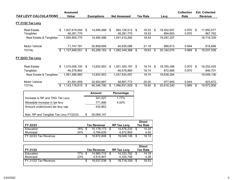|                                 |    | <b>Assessed</b>             |     |                   |     |                              |                |      |                       | <b>Collection</b> |      | <b>Est. Collected</b> |
|---------------------------------|----|-----------------------------|-----|-------------------|-----|------------------------------|----------------|------|-----------------------|-------------------|------|-----------------------|
| <b>TAX LEVY CALCULATIONS</b>    |    | Value                       |     | <b>Exemptions</b> |     | <b>Net Assessed</b>          | Tax Rate       |      | Levy                  | Rate              |      | <b>Revenue</b>        |
| FY 21/22 Tax Levy               |    |                             |     |                   |     |                              |                |      |                       |                   |      |                       |
| <b>Real Estate</b><br>Tangibles | \$ | 1,007,619,000<br>48.281.770 | S.  | 14,490,488        | \$. | 993,128,512 \$<br>48,281,770 | 18.53<br>18.53 | -\$  | 18,402,657<br>894,600 | 0.970<br>0.970    | - \$ | 17,850,577<br>867,762 |
| Real Estate & Tangibles         |    | 1,055,900,770               |     | 14,490,488        |     | 1,041,410,282                | 18.53          |      | 19,297,257            |                   |      | 18,718,339            |
| Motor Vehicle                   |    | 71,747,781                  |     | 30,808,695        |     | 40,939,086                   | 21.18          |      | 866,813               | 0.944             |      | 818,699               |
| TOTAL                           | S  | ,127,648,551                | \$. | 45,299,183        | S   | 1,082,349,368                | \$<br>18.63    | - \$ | 20,164,070            | 0.969             | \$   | 19,537,038            |
| FY 22/23 Tax Levy               |    |                             |     |                   |     |                              |                |      |                       |                   |      |                       |
| <b>Real Estate</b>              | \$ | 1,015,008,100               | \$  | 13,652,903        | \$  | 1,001,355,197 \$             | 18.74          | -S   | 18,765,396            | 0.970             | \$   | 18,202,435            |
| Tangibles                       |    | 46,578,860                  |     |                   |     | 46,578,860                   | 18.74          |      | 872,888               | 0.970             |      | 846,701               |
| Real Estate & Tangibles         |    | 1,061,586,960               |     | 13,652,903        |     | 1,047,934,057                | 18.74          |      | 19,638,284            |                   |      | 19,049,136            |
| Motor Vehicle                   |    | 81,591,659                  |     | 32,693,887        |     | 48,897,772                   | 20.00          |      | 977,955               | 0.944             |      | 923,672               |
| <b>TOTAL</b>                    | \$ | 1,143,178,619               | S   | 46,346,790        |     | 1,096,831,829                | \$<br>18.80    | S    | 20,616,240            | 0.969             | S    | 19,972,808            |

|                                       | <b>Amount</b> | Percentage |
|---------------------------------------|---------------|------------|
| Increase in RP and TNG Tax Levy       | 341,027       | 1.77%      |
| Allowable increase in tax levy        | 771,890       | 4.00%      |
| Amount under/(over) tax levy cap      | 430,863       |            |
| Max. RP and Tangible Tax Levy FY22/23 | 20,069,147    |            |

| FY 22/23                          |     | <b>Tax Revenue</b> | <b>RP Tax Levy</b> | <b>Direct</b><br><b>Tax Rate</b> |
|-----------------------------------|-----|--------------------|--------------------|----------------------------------|
| Education                         | 76% | 15.178.173         | 14.476.235         | 14.24                            |
| Municipal                         | 24% | 4.794.635          | 4.572.900          | 4.50                             |
| $\overline{FY}$ 22/23 Tax Revenue |     | 19.972.808 \$      | 19.049.136         | 18.74                            |

| FY 21/22             |     | <b>Tax Revenue</b> | <b>RP Tax Levy</b> |   | <b>Direct</b><br><b>Tax Rate</b> |
|----------------------|-----|--------------------|--------------------|---|----------------------------------|
| Education            | 77% | 14.960.710         | 14.333.782         |   | 14.19                            |
| Municipal            | 23% | 4.514.947          | 4.325.748          |   | 4.28                             |
| FY 21/22 Tax Revenue |     | 19.537.038 \$      | 18.718.339         | S | 18.53                            |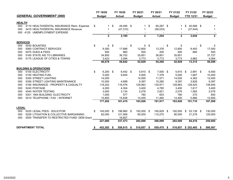|                 |                                             | FY 19/20         | FY 19/20             | FY 20/21      |      | FY 20/21      |      | FY 21/22       | FY 21/22                 | FY 22/23       |
|-----------------|---------------------------------------------|------------------|----------------------|---------------|------|---------------|------|----------------|--------------------------|----------------|
|                 | <b>GENERAL GOVERNMENT (000)</b>             | <b>Budget</b>    | <b>Actual</b>        | <b>Budget</b> |      | <b>Actual</b> |      | <b>Budget</b>  | <b>YTD 12/31</b>         | <b>Budget</b>  |
| <b>HEALTH</b>   |                                             |                  |                      |               |      |               |      |                |                          |                |
| 000             | 4110 HEALTH/DENTAL INSURANCE Reim. Expense  | \$               | \$<br>49,495 \$      | -1            | \$   | 65,287 \$     |      |                | 40,588 \$<br>\$          |                |
| 000             | 3415 HEALTH/DENTAL INSURANCE Revenue        | 1                | (47, 310)            | -1            |      | (58,033)      |      | 1              | (37, 544)                | 1              |
| 000             | 4125 UMEMPLOYMENT EXPENSE                   |                  |                      |               |      |               |      |                |                          |                |
|                 |                                             | $\mathbf{2}$     | 2,185                | $\mathbf{2}$  |      | 7,254         |      | $\overline{2}$ | 3,044                    | $\overline{2}$ |
| <b>SERVICES</b> |                                             |                  |                      |               |      |               |      |                |                          |                |
| 000             | 5030 BOUNTIES                               | \$<br>5          | \$<br>$\blacksquare$ | \$<br>5       | \$   |               | - \$ | 5              | $\overline{\phantom{0}}$ | \$             |
| 000             | 5060 CONTRACT SERVICES                      | 9,300            | 17,686               | 12,800        |      | 13,376        |      | 12,800         | 8,493                    | 17,000         |
| 000             | <b>5075 DUES &amp; FEES</b>                 | 500              | 860                  | 500           |      | 200           |      | 500            | 860                      | 500            |
| 000             | 5160 STATE AID TO LIBRARIES                 | 34,850           | 36,702               | 35,851        |      | 36,851        |      | 35,851         |                          | 37,727         |
| 000             | 5175 LEAGUE OF CITIES & TOWNS               | 3,423            | 3,594                | 3,773         |      | 3,773         |      | 3,773          | 3,962                    | 4,064          |
|                 |                                             | 48,078           | 58,842               | 52,929        |      | 54,200        |      | 52,929         | 13,315                   | 59,296         |
|                 | <b>BUILDING &amp; OPERATIONS</b>            |                  |                      |               |      |               |      |                |                          |                |
| 000             | 5100 ELECTRICITY                            | \$<br>$6,200$ \$ | $6,442$ \$           | 5,910         | - \$ | $7,000$ \$    |      | 5,910          | 2,991<br>- \$            | \$<br>6,500    |
| 000             | 5150 HEATING FUEL                           | 5,000            | 9,945                | 5,000         |      | 7,376         |      | 5,000          | 1,687                    | 10,400         |
| 000             | 5355 STREET LIGHTING                        | 14,000           |                      | 14,000        |      | 11,571        |      | 14,000         | 4,362                    | 12,000         |
| 000             | 5356 STREET LIGHTING MAINTENANCE            | 10,000           | 4,699                | 9,397         |      | 15,280        |      | 9,397          | 3,828                    | 9,397          |
| 000             | 5180 INSURANCE - PROPERTY & CASUALTY        | 118,202          | 116,476              | 128,963       |      | 130,971       |      | 128,963        | 129,425                  | 139,945        |
| 000             | 5240 POSTAGE                                | 4,000            | 4,304                | 3,400         |      | 4,785         |      | 3,400          | 1,617                    | 3,400          |
| 000             | 4045 WATER TESTING                          | 3,000            | 3,134                | 2,076         |      | 2,821         |      | 2,076          | 1,565                    | 2,076          |
| 000             | 5301 1904 BUILDING- ELECTRICITY             | 1,000            | 577                  | 780           |      | 653           |      | 780            | 270                      | 650            |
| 000             | 5410 TELEPHONE / FAX / INTERNET             | 15,800           | 15,838               | 14,400        |      | 11,460        |      | 14,400         | 5,966                    | 12,900         |
|                 |                                             | 177,202          | 161,415              | 183,926       |      | 191,917       |      | 183,926        | 151,710                  | 197,269        |
| <b>LEGAL</b>    |                                             |                  |                      |               |      |               |      |                |                          |                |
| 000             | 5225 LEGAL FEES - SOLICITOR                 | \$<br>145,000 \$ | 198,960 \$           | 192,000 \$    |      | 190,829 \$    |      | 192,000        | 53,138 \$<br>\$          | 130,000        |
| 000             | 5226 LITIGATION & COLLECTIVE BARGAINING     | 82,000           | 121,906              | 90,000        |      | 115,270       |      | 90,000         | 31,278                   | 120,000        |
| 000             | 5500 TRANSFER TO RESTRICTED FUND- DEM Grant |                  | 16,607               |               |      |               |      |                |                          |                |
|                 |                                             | 227,000          | 337,473              | 282.000       |      | 306,099       |      | 282,000        | 84.416                   | 250,000        |
|                 | <b>DEPARTMENT TOTAL</b>                     | 452,282 \$       | 559,915 \$           | 518,857       | -\$  | 559,470 \$    |      | 518,857        | $$252,485$ \$            | 506,567        |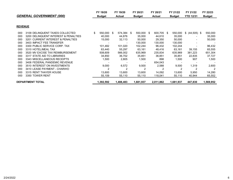|                |                                                 | FY 19/20      | FY 19/20      | FY 20/21      |      | FY 20/21      |     | FY 21/22      | FY 21/22         | FY 22/23      |
|----------------|-------------------------------------------------|---------------|---------------|---------------|------|---------------|-----|---------------|------------------|---------------|
|                | <b>GENERAL GOVERNMENT (000)</b>                 | <b>Budget</b> | <b>Actual</b> | <b>Budget</b> |      | <b>Actual</b> |     | <b>Budget</b> | <b>YTD 12/31</b> | <b>Budget</b> |
|                |                                                 |               |               |               |      |               |     |               |                  |               |
| <b>REVENUE</b> |                                                 |               |               |               |      |               |     |               |                  |               |
| 000            | 3109 DELINQUENT TAXES COLLECTED                 | 550,000 \$    | 574,384 \$    | 550,000       | - \$ | 600,705       | - S | 550,000       | \$ (44,505) \$   | 550,000       |
| 000            | 3200 DELINQUENT INTEREST & PENALTIES            | 40,000        | 44,876        | 35,000        |      | 44,610        |     | 35,000        |                  | 35,000        |
| 000            | <b>CURRENT INTEREST &amp; PENALTIES</b><br>3201 | 15,000        | 32,113        | 50,000        |      | 29,350        |     | 50,000        |                  | 50,000        |
| 000            | 3403 IMPACT FEE TRANSFER                        |               |               | 130,000       |      | 130,000       |     | 130,000       |                  |               |
| 000            | 3300 PUBLIC SERVICE CORP. TAX                   | 101,482       | 101,020       | 102,244       |      | 96,432        |     | 102,244       |                  | 96,432        |
| 000            | 3310 HOTEL/MEAL TAX                             | 63,440        | 55,297        | 63,161        |      | 48,416        |     | 63,161        | 39,155           | 65,555        |
| 000            | 3520 MV EXCISE TAX REIMBURSEMENT                | 508,609       | 566,002       | 635,969       |      | 235,834       |     | 635,969       | 381,223          | 651,304       |
| 000            | 3317 STATE AID TO LIBRARIES                     | 34,850        | 36,702        | 35,851        |      | 36,851        |     | 35,851        | 22,835           | 37,727        |
| 000            | 3343 MISCELLANEOUS RECEIPTS                     | 1,500         | 2,805         | 1,500         |      | 898           |     | 1,500         | 907              | 1,500         |
| 000            | 3408 FEDERAL PANDEMIC REVENUE                   |               |               |               |      | 654,043       |     |               |                  |               |
| 000            | 3510 INTEREST ON INVESTMENTS                    | 9,000         | 6,572         | 9,500         |      | 2,588         |     | 9,500         | 1,319            | 2,600         |
| 000            | 3410 LEASE PAYMENT - CHARIHO                    | 2             | 2             |               |      |               |     | 2             | 2                | -2            |
| 000            | 3315 RENT THAYER HOUSE                          | 13,600        | 13,600        | 13,600        |      | 14,092        |     | 13,600        | 5,950            | 14,280        |
| 000            | 3350 TOWER RENT                                 | 55,109        | 55,110        | 55,110        |      | 118,041       |     | 55,110        | 40,944           | 65,552        |
|                | <b>DEPARTMENT TOTAL</b>                         | 1,392,592     | 1,488,483     | 1,681,937     |      | 2,011,862     |     | 1,681,937     | 447,830          | 1,569,952     |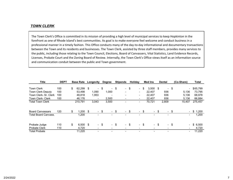#### *TOWN CLERK*

The Town Clerk's Office is committed in its mission of providing <sup>a</sup> high level of municipal services to keep Hopkinton in the forefront as one of Rhode Island's best communities. Its goal is to make everyone feel welcome and conduct business in <sup>a</sup> professional manner in a timely fashion. This Office conducts many of the day-to-day informational and documentary transactions between the Town and its residents and businesses. The Town Clerk, assisted by three staff members, provides many services to the public, including those relating to the Town Council, Elections, Board of Canvassers, Vital Statistics, Land Evidence Records, Licenses, Probate Court and the Zoning Board of Review. Internally, the Town Clerk's Office views itself as an information source and communication conduit between the public and Town government.

| <b>Title</b>                | <b>DEPT</b> | <b>Base Rate</b> |     | Longevity      | Degree                   | <b>Stipends</b>          |      | <b>Holidav</b>           |      | Med Ins                  | <b>Dental</b>            |      | (Co-Share)               | Total       |
|-----------------------------|-------------|------------------|-----|----------------|--------------------------|--------------------------|------|--------------------------|------|--------------------------|--------------------------|------|--------------------------|-------------|
| <b>Town Clerk</b>           | 100         | \$<br>62.299     | \$  | $\blacksquare$ | \$<br>$\sim$             | \$                       | - \$ | $\overline{\phantom{0}}$ | \$   | 3.500                    | \$                       | - \$ | $\overline{\phantom{a}}$ | \$65,799    |
| <b>Town Clerk Deputy</b>    | 100         | 53.498           |     | 1,090          | 1,000                    | $\blacksquare$           |      | $\overline{\phantom{0}}$ |      | 22.407                   | 936                      |      | 5,136                    | 73.795      |
| Town Clerk- Sr. Clerk       | 100         | 48,818           |     | 1,953          |                          |                          |      | $\overline{\phantom{a}}$ |      | 22,407                   | 936                      |      | 5,136                    | 68,978      |
| <b>Town Clerk- Clerk</b>    | 100         | 46,176           |     |                | 2.500                    | $\overline{\phantom{0}}$ |      | $\blacksquare$           |      | 22.407                   | 936                      |      | 5,136                    | 66,884      |
| <b>Total Town Clerk</b>     |             | 210,791          |     | 3,043          | 3,500                    |                          |      | $\,$                     |      | 70,721                   | 2,809                    |      | 15,407                   | 275,457     |
|                             |             |                  |     |                |                          |                          |      |                          |      |                          |                          |      |                          |             |
| <b>Board Canvassars</b>     | 120         | \$<br>1,200      | \$  | $\blacksquare$ | \$<br>$\sim$             | \$                       | - \$ |                          | - \$ | $\sim$                   | \$                       | - \$ | $\blacksquare$           | \$<br>1,200 |
| <b>Total Board Canvass.</b> |             | 1,200            |     |                |                          |                          |      |                          |      |                          |                          |      | $\overline{\phantom{a}}$ | 1,200       |
|                             |             |                  |     |                |                          |                          |      |                          |      |                          |                          |      |                          |             |
| Probate Judge               | 110         | \$<br>6,500      | -\$ | - \$           | $\sim$                   | \$                       | - \$ |                          | - \$ | $\sim$                   | \$                       | - \$ | $\blacksquare$           | \$6,500     |
| <b>Probate Clerk</b>        | 110         | 4,720            |     |                | $\overline{\phantom{0}}$ |                          |      |                          |      | $\overline{\phantom{a}}$ | $\overline{\phantom{a}}$ |      | $\blacksquare$           | 4,720       |
| <b>Total Probate</b>        |             | 11,220           |     |                |                          |                          |      |                          |      |                          |                          |      | $\blacksquare$           | 11,220      |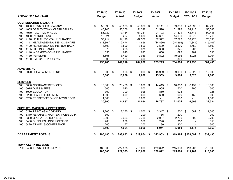|                                                                              |      | FY 19/20       | FY 19/20       | FY 20/21       |      | FY 20/21      |     | FY 21/22       |      | FY 21/22         | FY 22/23       |
|------------------------------------------------------------------------------|------|----------------|----------------|----------------|------|---------------|-----|----------------|------|------------------|----------------|
| TOWN CLERK (100)                                                             |      | <b>Budget</b>  | <b>Actual</b>  | <b>Budget</b>  |      | <b>Actual</b> |     | <b>Budget</b>  |      | <b>YTD 12/31</b> | <b>Budget</b>  |
|                                                                              |      |                |                |                |      |               |     |                |      |                  |                |
| <b>COMPENSATION &amp; SALARY</b><br>4000 TOWN CLERK SALARY<br>100            | \$   | 56,996 \$      | 58,583 \$      | 59,880 \$      |      | 60,111 \$     |     | 59,880         |      | $$28,098$ \$     | 62,299         |
| 4005 DEPUTY TOWN CLERK SALARY<br>100                                         |      | 46,745         | 50,306         | 51,398         |      | 51,596        |     | 51,398         |      | 24,118           | 55,588         |
| 4010 FULL TIME WAGES<br>100                                                  |      | 85,332         | 73,114         | 91,331         |      | 91,703        |     | 91,331         |      | 42,743           | 99,446         |
| 4090 PAYROLL TAXES<br>100                                                    |      | 13,824         | 13,267         | 14,630         |      | 14,691        |     | 14,630         |      | 6,872            | 15,715         |
| 4110 HEALTH / DENTAL INSURANCE<br>100                                        |      | 53,914         | 54,198         | 67,572         |      | 67,572        |     | 67,572         |      | 38,926           | 70,030         |
| 4111 HEALTH/DENTAL INS. CO-SHARE<br>100                                      |      | (11, 861)      | (12, 474)      | (14, 866)      |      | (14, 866)     |     | (14, 866)      |      | (7, 344)         | (15, 407)      |
| 4120 HEALTH/DENTAL INS. BUY BACK<br>100                                      |      | 3,500          | 3,500          | 3,500          |      | 3,500         |     |                |      | 1,750            |                |
| 4105 LIFE INSURANCE                                                          |      | 375            |                | 375            |      | 360           |     | 3,500<br>375   |      | 207              | 3,500          |
| 100                                                                          |      |                | 268            |                |      |               |     |                |      |                  | 375            |
| 4140 WORKERS COMP INSURANCE<br>100                                           |      | 655            | 610            | 693            |      | 656           |     | 693            |      | 702              | 596            |
| 4130 PENSIONS<br>100                                                         |      | 6,505          | 8,420          | 10,066         |      | 9,892         |     | 10,066         |      | 3,926            | 8,964          |
| 4150 EYE CARE PROGRAM<br>100                                                 |      | 300<br>256,285 | 124<br>249,916 | 300<br>284,880 |      | 285,215       |     | 300<br>284,880 |      | 139,998          | 300<br>301,406 |
|                                                                              |      |                |                |                |      |               |     |                |      |                  |                |
| <b>ADVERTISING</b>                                                           |      |                |                |                |      |               |     |                |      |                  |                |
| 5020 LEGAL ADVERTISING<br>100                                                | - \$ | $8,000$ \$     | 18,866 \$      | 9,000          | - \$ | 15,959        | -\$ | 9,000          | \$   | $5,320$ \$       | 12,000         |
|                                                                              |      | 8,000          | 18,866         | 9,000          |      | 15,959        |     | 9,000          |      | 5,320            | 12,000         |
| <b>SERVICES</b>                                                              |      |                |                |                |      |               |     |                |      |                  |                |
| 100<br>5060 CONTRACT SERVICES                                                | \$   | 18,000 \$      | 23,458 \$      | 18,000 \$      |      | 14,413 \$     |     | 18,000         | \$   | $6,157$ \$       | 18,000         |
| 5075 DUES & FEES<br>100                                                      |      | 500            | 520            | 500            |      | 905           |     | 500            |      | 290              | 500            |
| 5090 EDUCATION<br>100                                                        |      | 300            | 300            | 925            |      | 860           |     | 925            |      |                  | 925            |
| 5200 LEASED EQUIPMENT<br>100                                                 |      | 1,000          | 609            | 609            |      | 609           |     | 609            |      | 152              | 609            |
| 100<br>5250 PRESERVATION OF TOWN RECS.                                       |      | 1,000          | $\blacksquare$ | 1,000          |      |               |     | 1,000          |      |                  | 1,000          |
|                                                                              |      | 20,800         | 24,887         | 21,034         |      | 16,787        |     | 21,034         |      | 6,599            | 21,034         |
|                                                                              |      |                |                |                |      |               |     |                |      |                  |                |
| <b>SUPPLIES, MAINTEN. &amp; OPERATIONS</b><br>5270 PRINTING & COPYING<br>100 | \$   | $1,200$ \$     | $2,275$ \$     | $1,500$ \$     |      | $3,347$ \$    |     | 1,500          | - \$ | 582 \$           | 1,500          |
| 5310 REPAIRS & MAINTENANCE/EQUIP.<br>100                                     |      | 300            |                | 200            |      | 186           |     | 200            |      |                  | 200            |
| 5390 OPERATING SUPPLIES<br>100                                               |      | 3,000          | 2,323          | 2,700          |      | 2,087         |     | 2,700          |      | 592              | 2,700          |
| 5400 SUPPLIES - DOG LICENSES<br>100                                          |      | 400            | 289            | 350            |      | 290           |     | 350            |      |                  | 350            |
| 5420 TRAVEL & CONFERENCE<br>100                                              |      | 200            | 77             | 300            |      | 30            |     | 300            |      |                  | 300            |
|                                                                              |      | 5,100          | 4,964          | 5,050          |      | 5,941         |     | 5,050          |      | 1,174            | 5,050          |
|                                                                              |      |                |                |                |      |               |     |                |      |                  |                |
| <b>DEPARTMENT TOTALS</b>                                                     |      | 290,185 \$     | 298,633 \$     | 319,964 \$     |      | 323,903 \$    |     | 319,964        |      | $$153,091$ \$    | 339,490        |
|                                                                              |      |                |                |                |      |               |     |                |      |                  |                |
| <b>TOWN CLERK REVENUE</b>                                                    |      |                |                |                |      |               |     |                |      |                  |                |
| 100 3406 TOWN CLERK REVENUE                                                  |      | 180,000        | 222,585        | 215,000        |      | 279,822       |     | 215,000        |      | 113,207          | 218,000        |
|                                                                              |      | 180,000        | 222,585        | 215,000        |      | 279,822       |     | 215,000        |      | 113,207          | 218,000        |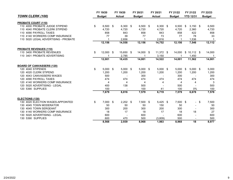|                                      | FY 19/20         | FY 19/20      | FY 20/21       | FY 20/21      | FY 21/22      | FY 21/22         |     | FY 22/23      |
|--------------------------------------|------------------|---------------|----------------|---------------|---------------|------------------|-----|---------------|
| <b>TOWN CLERK (100)</b>              | <b>Budget</b>    | <b>Actual</b> | <b>Budget</b>  | <b>Actual</b> | <b>Budget</b> | <b>YTD 12/31</b> |     | <b>Budget</b> |
| <b>PROBATE COURT (110)</b>           |                  |               |                |               |               |                  |     |               |
| 110 4000 PROBATE JUDGE STIPEND       | \$<br>$6,500$ \$ | $6,300$ \$    | $6,500$ \$     | $6,300$ \$    | 6,500         | \$<br>$3,150$ \$ |     | 6,500         |
| 110 4040 PROBATE CLERK STIPEND       | 4,720            | 4,720         | 4,720          | 4,720         | 4,720         | 2,360            |     | 4,720         |
| 110 4090 PAYROLL TAXES               | 858              | 843           | 858            | 843           | 858           | 422              |     | 858           |
| 110 4140 WORKERS COMP INSURANCE      | 77               | 39            | 77             | 73            | 77            | 78               |     | 33            |
| 110 5020 LEGAL ADVERTISING - PROBATE |                  | 2,656         |                | 2,816         |               | 1,536            |     | $\mathbf{1}$  |
|                                      | 12,156           | 14,558        | 12,156         | 14,752        | 12,156        | 7,546            |     | 12,112        |
| <b>PROBATE REVENUES (110)</b>        |                  |               |                |               |               |                  |     |               |
| 110 3400 PROBATE REVENUES            | \$<br>12,000 \$  | 15,650 \$     | $14,000$ \$    | 11,372 \$     | 14,000        | $$10,112$ \$     |     | 14,000        |
| 110 3401 PROBATE ADVERTISING         |                  | 2,785         | -1             | 3,150         |               | 1,450            |     | -1            |
|                                      | 12,001           | 18,435        | 14,001         | 14,522        | 14,001        | 11,562           |     | 14,001        |
| <b>BOARD OF CANVASSERS (120)</b>     |                  |               |                |               |               |                  |     |               |
| 120 4040 STIPENDS                    | \$<br>$5,000$ \$ | $5,000$ \$    | $5,000$ \$     | $5,000$ \$    | 5,000         | \$<br>$5,000$ \$ |     | 5,000         |
| 120 4020 CLERK STIPEND               | 1,200            | 1,200         | 1,200          | 1,200         | 1,200         | 1,200            |     | 1,200         |
| 120 4043 CANVASSERS WAGES            | 500              |               | 300            |               | 300           |                  |     | 300           |
| 120 4090 PAYROLL TAXES               | 474              | 474           | 474            | 474           | 474           | 474              |     | 474           |
| 120 4140 WORKERS COMP INSURANCE      | 4                | 4             | $\overline{4}$ | 4             | 4             | 4                |     | 3             |
| 120 5020 ADVERTISING - LEGAL         | 400              | 138           | 500            |               | 500           |                  |     | 500           |
| 120 5390 SUPPLIES                    | 100              |               | 100            | 41            | 100           | $0\%$            |     | 100           |
|                                      | 7,679            | 6,816         | 7,579          | 6,719         | 7,579         | 6,678            |     | 7,578         |
| <b>ELECTIONS (130)</b>               |                  |               |                |               |               |                  |     |               |
| 130 4020 ELECTION WAGES-APPOINTED    | \$<br>7,000 \$   | $2,202$ \$    | $7,500$ \$     | $5,425$ \$    | $7,500$ \$    | $\sim$           | -\$ | 7,500         |
| 130 4045 TOWN MODERATOR              | 50               | 50            | 50             | 150           | 50            |                  |     | 50            |
| 130 4045 TOWN SERGEANT               | 300              | 200           | 300            | 200           | 300           |                  |     | 300           |
| 130 4140 WORKERS COMP INSURANCE      | 18               | 17            | 18             | 17            | 18            | 18               |     | 27            |
| 130 5020 ADVERTISING - LEGAL         | 600              |               | 600            |               | 600           |                  |     | 600           |
| 130 5390 SUPPLIES                    | 600              | 470           | 500            | (3,809)       | 500           |                  |     | 500           |
|                                      | 8,568            | 2,939         | 8.968          | 1.983         | 8.968         | 18               |     | 8,977         |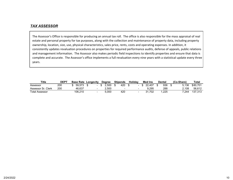## *TAX ASSESSOR*

The Assessor's Office is responsible for producing an annual tax roll. The office is also responsible for the mass appraisal of real estate and personal property for tax purposes, along with the collection and maintenance of property data, including property ownership, location, size, use, physical characteristics, sales price, rents, costs and operating expenses. In addition, it consistently updates revaluation procedures on properties for required performance audits, defense of appeals, public relations and management information. The Assessor also makes periodic field inspections to identify properties and ensure that data is complete and accurate. The Assessor's office implements <sup>a</sup> full revaluation every nine years with <sup>a</sup> statistical update every three years.

| <b>Title</b>          | <b>DEP</b> | <b>Base Rate Longevity</b> |  | <b>Dearee</b> | <b>Stipends</b>          | <b>Holidav</b> | <b>Med Ins</b> | Dental | (Co-Share) | Tota.    |
|-----------------------|------------|----------------------------|--|---------------|--------------------------|----------------|----------------|--------|------------|----------|
| Assessor              | 200        | 59.573                     |  | 2.500         | 420                      |                | ኔ 22.407       | 936    | 5.136      | \$80.701 |
| Assessor Sr. Clerk    | 200        | 46.637                     |  | 2.500         | $\overline{\phantom{a}}$ |                | 9.295          | 288    | 2.108      | 56.612   |
| <b>Total Assessor</b> |            | 106.210                    |  | 5.000         | 420                      |                | 1.702          | .225   | 7.244      | 137.313  |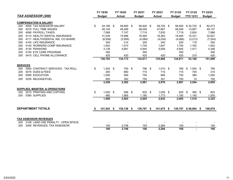|                 |                                                                    | FY 19/20      |     | FY 19/20      | FY 20/21      | FY 20/21         | FY 21/22      |      | FY 21/22         | FY 22/23      |
|-----------------|--------------------------------------------------------------------|---------------|-----|---------------|---------------|------------------|---------------|------|------------------|---------------|
|                 | TAX ASSESSOR (200)                                                 | <b>Budget</b> |     | <b>Actual</b> | <b>Budget</b> | <b>Actual</b>    | <b>Budget</b> |      | <b>YTD 12/31</b> | <b>Budget</b> |
|                 | <b>COMPENSATION &amp; SALARY</b>                                   |               |     |               |               |                  |               |      |                  |               |
| 200             | 4000 TAX ASSESSOR SALARY                                           | \$<br>54,185  | -\$ | 58,950 \$     | 56,920 \$     | 58,725 \$        | 56,920        |      | $$30,720$ \$     | 62,073        |
| 200             | 4010 FULL TIME WAGES                                               | 45,140        |     | 48,499        | 48,049        | 47,667           | 48,049        |      | 13,957           | 49,137        |
| 200             | 4090 PAYROLL TAXES                                                 | 7,068         |     | 7,747         | 7,719         | 7,830            | 7,719         |      | 2,824            | 7,986         |
| 200             | 4110 HEALTH / DENTAL INSURANCE                                     | 31,539        |     | 15,998        | 18,484        | 18,362           | 18,484        |      | 15,331           | 32,927        |
| 200             | 4111 HEALTH/DENTAL INS. CO-SHARE                                   | (6,938)       |     | (3,909)       | (4,066)       | (4,034)          | (4,066)       |      | (3,213)          | (7, 244)      |
| 200             | 4105 LIFE INSURANCE                                                | 250           |     | 214           | 250           | 240              | 250           |      | 118              | 250           |
| 200             | 4140 WORKERS COMP INSURANCE                                        | 1,642         |     | 1,573         | 1,740         | 1,647            | 1,740         |      | 1,762            | 1,452         |
| 200             | 4130 PENSIONS                                                      | 3,139         |     | 4,681         | 4,945         | 5,009            | 4,945         |      | 1,471            | 4,348         |
| 200             | 4150 EYE CARE PROGRAM                                              | 350           |     |               | 350           |                  | 350           |      |                  | 350           |
| 200             | 5410 CELL PHONE ALLOWANCE                                          | 420           |     | 420           | 420           | 420              | 420           |      | 210              | 420           |
|                 |                                                                    | 136,793       |     | 134,173       | 134,811       | 135,866          | 134,811       |      | 63,180           | 151,699       |
| <b>SERVICES</b> |                                                                    |               |     |               |               |                  |               |      |                  |               |
| 200             | 5065 CONTRACT SERVICES - TAX ROLL                                  | \$<br>1,200   | \$  | 750           | \$<br>766     | \$<br>$1,015$ \$ | 766           | \$   | $1,040$ \$       | 790           |
| 200             | 5075 DUES & FEES                                                   | 200           |     | 680           | 715           | 715              | 715           |      | 705              | 315           |
| 200             | 5090 EDUCATION                                                     | 1,000         |     | 590           | 750           | 895              | 750           |      | 385              | 1,000         |
| 200             | 5230 MILEAGE/FUEL                                                  | 850           |     | 362           | 750           | 351              | 750           |      | 74               | 750           |
|                 |                                                                    | 3,250         |     | 2,382         | 2,981         | 2,976            | 2,981         |      | 2,204            | 2,855         |
|                 | <b>SUPPLIES, MAINTEN. &amp; OPERATIONS</b>                         |               |     |               |               |                  |               |      |                  |               |
| 200             | 5270 PRINTING AND COPYING                                          | \$<br>1,020   | -\$ | 598 \$        | 825 \$        | $1,059$ \$       | 825           | - \$ | 365 \$           | 825           |
| 200             | 5390 SUPPLIES                                                      | 480           |     | 1,985         | 1,180         | 1,773            | 1,180         |      | 1,145            | 1,500         |
|                 |                                                                    | 1,500         |     | 2,583         | 2,005         | 2,832            | 2,005         |      | 1,510            | 2,325         |
|                 |                                                                    |               |     |               |               |                  |               |      |                  |               |
|                 | <b>DEPARTMENT TOTALS</b>                                           | $141,543$ \$  |     | 139,138 \$    | 139,797 \$    | 141,675 \$       | 139,797       |      | $$66,894$ \$     | 156,879       |
|                 |                                                                    |               |     |               |               |                  |               |      |                  |               |
| 200             | <b>TAX ASSESSOR REVENUES</b><br>3108 LAND USE PENALTY - OPEN SPACE |               |     |               |               |                  |               |      |                  |               |
| 200             | 3400 REVENUES: TAX ASSESSOR                                        | 100           |     | 3,748         | 100           | 2,284            | 100           |      |                  | 100           |
|                 |                                                                    | 100           |     | 3,748         | 100           | 2,284            | 100           |      |                  | 100           |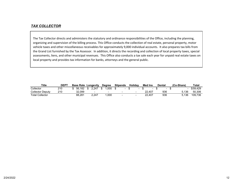# *TAX COLLECTOR*

The Tax Collector directs and administers the statutory and ordinance responsibilities of the Office, including the planning, organizing and supervision of the billing process. This Office conducts the collection of real estate, personal property, motor vehicle taxes and other miscellaneous receivables for approximately 9,000 individual accounts. It also prepares tax bills from the Grand List furnished by the Tax Assessor. In addition, it directs the recording and collection of local property taxes, special assessments, liens, and other municipal revenues. This Office also conducts <sup>a</sup> tax sale each year for unpaid real estate taxes on local property and provides tax information for banks, attorneys and the general public.

| <b>Title</b>            | <b>DEPT</b> | <b>Base Rate</b> | Longevity | <b>Dearee</b> | <b>Stipends</b> | Holidav | <b>Med Ins</b> | Dental | (Co-Share) | Tota     |
|-------------------------|-------------|------------------|-----------|---------------|-----------------|---------|----------------|--------|------------|----------|
| Collector               | 210         | 56.182           | 2.247     | .000<br>Ф     |                 |         |                |        |            | \$59.429 |
| <b>Collector Deputy</b> | 210         | 32.099           |           | $\sim$        |                 |         | 22.407         | 936    | 5.136      | 50.306   |
| <b>Total Collector</b>  |             | 88.281           | 2.247     | .000          |                 |         | 22.407         | 936    | 5.136      | 109,736  |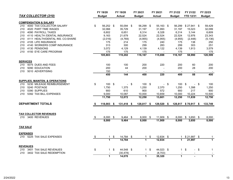|                                                    |               | FY 19/20       |           | FY 19/20            |        | FY 20/21                     |      | FY 20/21            |        | FY 21/22      | FY 21/22                | FY 22/23                     |
|----------------------------------------------------|---------------|----------------|-----------|---------------------|--------|------------------------------|------|---------------------|--------|---------------|-------------------------|------------------------------|
| TAX COLLECTOR (210)                                |               | <b>Budget</b>  |           | <b>Actual</b>       |        | <b>Budget</b>                |      | <b>Actual</b>       |        | <b>Budget</b> | <b>YTD 12/31</b>        | <b>Budget</b>                |
| <b>COMPENSATION &amp; SALARY</b>                   |               |                |           |                     |        |                              |      |                     |        |               |                         |                              |
| 4000 TAX COLLECTOR SALARY<br>210                   | \$            | 56,252 \$      |           | 55,094 \$           |        | 56,299 \$                    |      | 55,163 \$           |        | 56,299        | $$27,941$ \$            | 59,429                       |
| 4020 PART TIME WAGES<br>210                        |               | 32,066         |           | 35,729              |        | 31,197                       |      | 31,993              |        | 31,197        | 15,023                  | 32,099                       |
| 4090 PAYROLL TAXES<br>210                          |               | 6,602          |           | 6,651               |        | 6,314                        |      | 6,328               |        | 6,314         | 3,144                   | 6,609                        |
| 4110 HEALTH /DENTAL INSURANCE<br>210               |               | 9,163          |           | 21,679              |        | 22,524                       |      | 22,524              |        | 22,524        | 12,976                  | 23,343                       |
| 4111 HEALTH/DENTAL INS. CO-SHARE<br>210            |               | (2,016)        |           | (4,769)             |        | (4,955)                      |      | (4, 955)            |        | (4,955)       | (2, 448)                | (5, 136)                     |
| 4105 LIFE INSURANCE<br>210                         |               | 175            |           | 214                 |        | 175                          |      | 240                 |        | 175           | 138                     | 250                          |
| 4140 WORKERS COMP INSURANCE<br>210                 |               | 313            |           | 300                 |        | 299                          |      | 283                 |        | 299           | 303                     | 251                          |
| 4130 PENSIONS<br>210                               |               | 3,072          |           | 4,129               |        | 4,139                        |      | 4,122               |        | 4,139         | 1,913                   | 3,579                        |
| 4150 EYE CARE PROGRAM<br>210                       |               | 175            |           | 175                 |        | 175                          |      |                     |        | 175           |                         | 175                          |
|                                                    |               | 105,803        |           | 119,202             |        | 116,167                      |      | 115,698             |        | 116,167       | 58,990                  | 120,599                      |
| <b>SERVICES</b>                                    |               |                |           |                     |        |                              |      |                     |        |               |                         |                              |
| 5075 DUES AND FEES<br>210                          |               | 100            |           | 100                 |        | 200                          |      | 220                 |        | 200           | 60                      | 200                          |
| 5090 EDUCATION<br>210                              |               | 200            |           | 44                  |        | 200                          |      |                     |        | 200           | 28                      | 200                          |
| 5010 ADVERTISING<br>210                            |               | 150            |           | $\blacksquare$      |        | $\blacksquare$               |      | $\sim$              |        | $\sim$        | $\blacksquare$          | $\overline{\phantom{a}}$     |
|                                                    |               | 450            |           | 144                 |        | 400                          |      | 220                 |        | 400           | $\overline{88}$         | 400                          |
| <b>SUPPLIES, MAINTEN. &amp; OPERATIONS</b>         |               |                |           |                     |        |                              |      |                     |        |               |                         |                              |
| 5230 MILEAGE REIMBURSEMENT<br>210                  | \$            | 100            | \$        |                     | $-$ \$ | 100 \$                       |      |                     | $-$ \$ | 100 \$        | $-$ \$                  | 100                          |
| 5240 POSTAGE<br>210                                |               | 1,750          |           | 1,375               |        | 1,250                        |      | 2,370               |        | 1,250         | 1,398                   | 1,250                        |
| 5390 SUPPLIES<br>210                               |               | 900            |           | 610                 |        | 900                          |      | 572                 |        | 900           | 217                     | 900                          |
| 5392 TAX BILL EXPENSES<br>210                      |               | 9.000          |           | 10,087              |        | 10,000                       |      | 10,659              |        | 10,000        | 10,224                  | 10,500                       |
|                                                    |               | 11,750         |           | 12,072              |        | 12,250                       |      | 13,601              |        | 12,250        | 11,839                  | 12,750                       |
| <b>DEPARTMENT TOTALS</b>                           | S.            | 118,003 \$     |           | 131,418 \$          |        | 128,817 \$                   |      | 129,520 \$          |        |               | 128,817 \$70,917 \$     | 133,749                      |
|                                                    |               |                |           |                     |        |                              |      |                     |        |               |                         |                              |
| <b>TAX COLLECTOR REVENUES</b><br>210 3400 REVENUES | $\sqrt[6]{3}$ | 8,000          | \$        | 9,464               | -\$    | 8,000                        | - \$ | 11,909 \$           |        |               | 8,000 \$ 3,650 \$       | 8,000                        |
|                                                    |               | 8,000          |           | 9,464               |        | 8,000                        |      | 11,909              |        | 8,000         | 3,650                   | 8,000                        |
| <b>TAX SALE</b>                                    |               |                |           |                     |        |                              |      |                     |        |               |                         |                              |
| <b>EXPENSES</b>                                    |               |                |           |                     |        |                              |      |                     |        |               |                         |                              |
| 210 5225 TAX SALE EXPENSES                         | $\sqrt{2}$    | $\overline{1}$ | $1 \quad$ | 14,784 \$<br>14,784 |        | $\mathbf{1}$<br>$\mathbf{1}$ | \$   | 12,834 \$<br>12,834 |        | 1             | 1 \$21,997 \$<br>21,997 | $\mathbf{1}$<br>$\mathbf{1}$ |
|                                                    |               |                |           |                     |        |                              |      |                     |        |               |                         |                              |
| <b>REVENUES</b><br>3401 TAX SALE REVENUES<br>210   | \$            |                | 1 S       | 44,548 \$           |        |                              | 1 S  | 44,023 \$           |        | 1.            | \$<br>$\sim$            | \$<br>$\mathbf{1}$           |
| 3402 TAX SALE REDEMPTION<br>210                    |               |                |           | (30, 478)           |        |                              |      | (8,703)             |        |               |                         |                              |
|                                                    |               | $\mathbf{1}$   |           | 14.070              |        | $\blacktriangleleft$         |      | 35,320              |        | $\mathbf{1}$  | $\blacksquare$          | $\mathbf{1}$                 |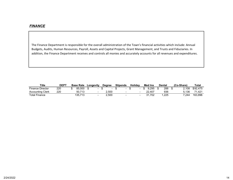The Finance Department is responsible for the overall administration of the Town's financial activities which include: Annual Budgets, Audits, Human Resources, Payroll, Assets and Capital Projects, Grant Management, and Trusts and Fiduciaries. In addition, the Finance Department receives and controls all monies and accurately accounts for all revenues and expenditures.

| <b>Title</b>            | <b>DEPT</b> | <b>Base Rate</b> | Longevity |                 | <b>Dearee</b> | <b>Stipends</b> | Holidav | <b>Med Ins</b> | Dental | (Co-Share) | Tota.    |
|-------------------------|-------------|------------------|-----------|-----------------|---------------|-----------------|---------|----------------|--------|------------|----------|
| <b>Finance Director</b> | 220         | 85.000           |           | $\qquad \qquad$ |               |                 |         | 9.295          | 288    | 2.108      | \$92.475 |
| <b>Accounting Clerk</b> | 220         | 50.713           |           |                 | 2.500         |                 |         | 22.407         | 936    | 5.136      | 71.421   |
| Total Finance           |             | .713<br>135.7    |           |                 | 2.500         |                 |         | .702           | .225   | 7.244      | 163.896  |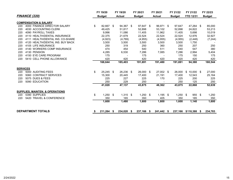|                 |                                            | FY 19/20         |     | FY 19/20      |     | FY 20/21      | FY 20/21      | FY 21/22             |      | FY 21/22         |      | FY 22/23      |
|-----------------|--------------------------------------------|------------------|-----|---------------|-----|---------------|---------------|----------------------|------|------------------|------|---------------|
|                 | <b>FINANCE (220)</b>                       | <b>Budget</b>    |     | <b>Actual</b> |     | <b>Budget</b> | <b>Actual</b> | <b>Budget</b>        |      | <b>YTD 12/31</b> |      | <b>Budget</b> |
|                 | <b>COMPENSATION &amp; SALARY</b>           |                  |     |               |     |               |               |                      |      |                  |      |               |
| 220             | 4000 FINANCE DIRECTOR SALARY               | \$<br>82.667 \$  |     | 94,367        | -\$ | 97,647 \$     | 96,971 \$     | 97,647               |      | 47,264 \$        |      | 85,000        |
| 220             | 4030 ACCOUNTING CLERK                      | 49,425           |     | 51,817        |     | 52,898        | 53,102        | 52,898               |      | 24,822           |      | 53,213        |
| 220             | 4090 PAYROLL TAXES                         | 9,996            |     | 11,086        |     | 11,405        | 11,962        | 11,405               |      | 5,698            |      | 10,019        |
| 220             | 4110 HEALTH/DENTAL INSURANCE               | 22,375           |     | 21,679        |     | 22,524        | 22,524        | 22,524               |      | 12,976           |      | 32,927        |
| 220             | 4111 HEALTH/DENTAL INS. CO-SHARE           | (4,923)          |     | (4,769)       |     | (4,955)       | (4,955)       | (4, 955)             |      | (2, 448)         |      | (7, 244)      |
| 220             | 4120 HEALTH/DENTAL INS, BUY BACK           | 3,500            |     | 3,500         |     | 3,500         | 3,500         | 3,500                |      | 1,750            |      |               |
| 220             | 4105 LIFE INSURANCE                        | 250              |     | 319           |     | 250           | 360           | 250                  |      | 207              |      | 250           |
| 220             | 4140 WORKERS COMP INSURANCE                | 474              |     | 454           |     | 540           | 511           | 540                  |      | 547              |      | 380           |
| 220             | 4130 PENSION                               | 4,285            |     | 6,530         |     | 7,286         | 7,085         | 7,286                |      | 2,994            |      | 5,404         |
| 220             | 4150 EYE CARE PROGRAM                      | 175              |     |               |     | 175           |               | 175                  |      | 150              |      | 175           |
| 220             | 5410 CELL PHONE ALLOWANCE                  | 420              |     | 420           |     | 420           | 420           | 420                  |      | 420              |      | 420           |
|                 |                                            | 168,644          |     | 185,403       |     | 191,691       | 191,480       | 191,691              |      | 94,380           |      | 180,544       |
| <b>SERVICES</b> |                                            |                  |     |               |     |               |               |                      |      |                  |      |               |
| 220             | 5000 AUDITING FEES                         | \$<br>25,245     | -\$ | 26,236        | \$  | 26,000 \$     | 27,002 \$     | 26,000               | \$   | $10,000$ \$      |      | 27,000        |
| 220             | 5060 CONTRACT SERVICES                     | 15,300           |     | 20,445        |     | 17,400        | 21,191        | 17,400               |      | 12,543           |      | 25,164        |
| 220             | <b>5075 DUES &amp; FEES</b>                | 225              |     | 227           |     | 225           | 170           | 225                  |      | 200              |      | 225           |
| 220             | 5090 EDUCATION                             | 250              |     | 229           |     | 250           |               | 250                  |      | 125              |      | 250           |
|                 |                                            | 41,020           |     | 47,137        |     | 43,875        | 48,362        | 43,875               |      | 22,868           |      | 52,639        |
|                 | <b>SUPPLIES, MAINTEN. &amp; OPERATIONS</b> |                  |     |               |     |               |               |                      |      |                  |      |               |
| 220             | 5390 SUPPLIES                              | \$<br>$1,250$ \$ |     | $1,315$ \$    |     | $1,250$ \$    | $1,195$ \$    | 1,250                | - \$ | 955              | - \$ | 1,250         |
| 220             | 5420 TRAVEL & CONFERENCE                   | 350              |     | 165           |     | 350           | 405           | 350                  |      | 185              |      | 350           |
|                 |                                            | 1,600            |     | 1,480         |     | 1,600         | 1,600         | 1,600                |      | 1,140            |      | 1,600         |
|                 | <b>DEPARTMENT TOTALS</b>                   | \$<br>211,264 \$ |     | 234,020 \$    |     | 237,166 \$    | 241,442 \$    | 237,166 \$118,388 \$ |      |                  |      | 234,783       |
|                 |                                            |                  |     |               |     |               |               |                      |      |                  |      |               |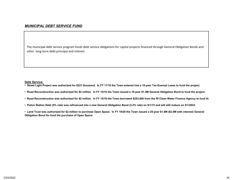The municipal debt service program funds debt service obligations for capital projects financed through General Obligation Bonds and other long‐term debt principal and interest.

#### **Debt Service:**

- **Street Light Project was authorized for \$221 thousand. In FY 17/18 the Town entered into a 10-year Tax-Exempt Lease to fund the project.**
- **Road Reconstruction was authorized for \$2 million. In FY 15/16 the Town issued a 10-year \$1.5M General Obligation Bond to fund the project.**
- **Road Reconstruction was authorized for \$2 million. In FY 15/16 the Town borrowed \$253,000 from the RI Clean Water Finance Agency to fund the**
- **Police Station Debt (5% rate) was refinanced into a new General Obligation Bond (2.2% rate) on 9/1/15 and will still mature on 5/1/2023.**
- **Land Trust was authorized for \$2 million to purchase Open Space. In FY 19/20 the Town issued a 25-year \$1.8M (\$2.5M with interest) General Obligation Bond for fund the purchase of Open Space.**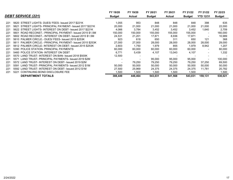|     |                                                              | FY 19/20      | FY 19/20                 | FY 20/21                 | FY 20/21                 | FY 21/22      | FY 21/22                 | FY 22/23      |
|-----|--------------------------------------------------------------|---------------|--------------------------|--------------------------|--------------------------|---------------|--------------------------|---------------|
|     | <b>DEBT SERVICE (221)</b>                                    | <b>Budget</b> | <b>Actual</b>            | <b>Budget</b>            | <b>Actual</b>            | <b>Budget</b> | <b>YTD 12/31</b>         | <b>Budget</b> |
|     |                                                              |               |                          |                          |                          |               |                          |               |
| 221 | 5620 STREET LIGHTS- DUES/ FEES- Issued 2017 \$221K           | 1.055         | 953                      | 848                      | 848                      | 848           | 398                      | 635           |
| 221 | STREET LIGHTS- PRINCIPAL PAYMENT- Issued 2017 \$221K<br>5621 | 20,000        | 21,000                   | 21,000                   | 21,000                   | 21,000        | 21,000                   | 22,000        |
| 221 | 5622 STREET LIGHTS-INTEREST ON DEBT- Issued 2017 \$221K      | 4,066         | 3,784                    | 3,452                    | 3,452                    | 3,452         | 1.640                    | 2,709         |
| 221 | 5601 ROAD RECONST.- PRINCIPAL PAYMENT- Issued 2015 \$1.5M    | 150,000       | 150,000                  | 155,000                  | 155,000                  | 155,000       | $\overline{\phantom{a}}$ | 160,000       |
| 221 | 5602 ROAD RECONST.- INTEREST ON DEBT- Issued 2015 \$1.5M     | 24.531        | 21.201                   | 17.871                   | 8,936                    | 17.871        |                          | 10,989        |
| 221 | 5610 PALMER CIRCLE.- DUES/ FEES- Issued 2015 \$253K          | 923           | 618                      | 650                      | 311                      | 650           | 121                      | 368           |
| 221 | 5611 PALMER CIRCLE.- PRINCIPAL PAYMENT- Issued 2015 \$253K   | 27,000        | 27,000                   | 28,000                   | 28,000                   | 28,000        | 28,000                   | 29,000        |
| 221 | 5612 PALMER CIRCLE- INTEREST ON DEBT- Issued 2015 \$253K     | 2,603         | 1.750                    | 1,979                    | 855                      | 1.979         | 8.942                    | 1,207         |
| 221 | 5390 POLICE STATION- PRINCIPAL PAYMENTS                      | 60,000        | 60,000                   | 60,000                   | 60,000                   | 60,000        | $\blacksquare$           | 60,000        |
| 221 | 5460 POLICE STATION- INTEREST ON DEBT                        | 6.771         | 5,439                    | 4,107                    | 13,043                   | 4,107         |                          | 1,332         |
| 221 | 5570 LAND TRUST-INTEREST ON BAN- Issued 2018 \$500K          | 12.500        | $\overline{\phantom{a}}$ | $\overline{\phantom{a}}$ | $\overline{\phantom{a}}$ |               |                          |               |
| 221 | LAND TRUST- PRINCIPAL PAYMENTS- Issued 2019 \$2M<br>5571     |               |                          | 95,000                   | 95,000                   | 95,000        |                          | 100,000       |
| 221 | 5572 LAND TRUST-INTEREST ON DEBT- Issued 2019 \$2M           |               | 79,250                   | 79,250                   | 79,250                   | 79,250        | 37.250                   | 69,500        |
| 221 | LAND TRUST- PRINCIPAL PAYMENTS- Issued 2012 \$1M<br>5591     | 50,000        | 50,000                   | 50,000                   | 50,000                   | 50,000        | 50,000                   | 50,000        |
| 221 | 5592 LAND TRUST-INTEREST ON DEBT- Issued 2012 \$1M           | 27,500        | 25,969                   | 24,375                   | 24,375                   | 24,375        | 11.781                   | 20,782        |
| 221 | CONTINUING BOND DISCLOSURE FEE<br>5221                       | 500. ا        | 1.500                    | 1.500                    | 1,500                    | 1,500         |                          | 1,500         |
|     | <b>DEPARTMENT TOTALS</b>                                     | 388,449       | 448,464                  | 543,031                  | 541,568                  | 543,031       | 159,131                  | 530,021       |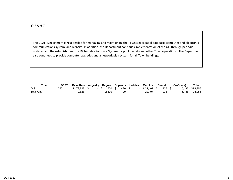# *G.I.S./I.T.*

The GIS/IT Department is responsible for managing and maintaining the Town's geospatial database, computer and electronic communications system, and website. In addition, the Department continues implementation of the GIS through periodic updates and the establishment of <sup>a</sup> Pictometry Software System for public safety and other Town operations. The Department also continues to provide computer upgrades and <sup>a</sup> network plan system for all Town buildings.

| Title            | <b>DEPT</b> | <b>Base Rate</b>                  | ∟ongevity |  | <b>Dearee</b> | <b>Stipends</b> | Holidav | <b>Med Ins</b>              | <b>Dental</b> | (Co-Share) | <b>Total</b> |
|------------------|-------------|-----------------------------------|-----------|--|---------------|-----------------|---------|-----------------------------|---------------|------------|--------------|
| GIS              | 250         | 70<br>.828                        |           |  | .500          | 420             |         | .407<br>$\sim$<br><u>__</u> | 936           | 5.136      | \$93.956     |
| <b>Total GIS</b> |             | 2,828<br>$\overline{\phantom{a}}$ |           |  | 001.∠         | າດດ<br>42U      |         | 22,407                      | 936           | 5,136      | 93,956       |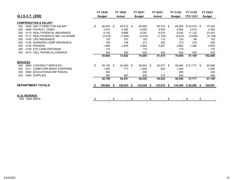|                                         |    | FY 19/20      |        | FY 19/20      |        | FY 20/21                 |        | FY 20/21       | FY 21/22      | FY 21/22         | FY 22/23      |
|-----------------------------------------|----|---------------|--------|---------------|--------|--------------------------|--------|----------------|---------------|------------------|---------------|
| G.I.S./I.T. (250)                       |    | <b>Budget</b> |        | <b>Actual</b> |        | <b>Budget</b>            |        | <b>Actual</b>  | <b>Budget</b> | <b>YTD 12/31</b> | <b>Budget</b> |
| <b>COMPENSATION &amp; SALARY</b>        |    |               |        |               |        |                          |        |                |               |                  |               |
| 4000 GIS/ IT DIRECTOR SALARY<br>250     | \$ | 46,976 \$     |        | 59,212 \$     |        | 60,500                   |        | 65,753 \$      | 60,500        | $$34,019$ \$     | 75,328        |
| 4090 PAYROLL TAXES<br>250               |    | 3,472         |        | 4,380         |        | 4,505                    |        | 4,943          | 4,505         | 2,415            | 5,402         |
| 4110 HEALTH/DENTAL INSURANCE<br>250     |    | 9,163         |        | 8,885         |        | 9,242                    |        | 9,079          | 9,242         | 11,122           | 23,343        |
| 4111 HEALTH/DENTAL INS. CO-SHARE<br>250 |    | (2,016)       |        | (1,955)       |        | (2,033)                  |        | (1,720)        | (2,033)       | (2, 448)         | (5, 136)      |
| 4105 LIFE INSURANCE<br>250              |    | 125           |        | 107           |        | 125                      |        | 110            | 125           | 69               | 125           |
| 4140 WORKERS COMP INSURANCE<br>250      |    | 165           |        | 158           |        | 213                      |        | 202            | 213           | 216              | 205           |
| 4130 PENSION<br>250                     |    | 1,484         |        | 2,645         |        | 2,862                    |        | 3,091          | 2,862         | 1,356            | 2,945         |
| 4150 EYE CARE PROGRAM<br>250            |    | 175           |        |               |        | 175                      |        |                | 175           |                  | 175           |
| 5410 CELL PHONE ALLOWANCE<br>250        |    | 420           |        | 420           |        | 420                      |        | 420            | 420           | 420              | 420           |
|                                         |    | 59,964        |        | 73,852        |        | 76,009                   |        | 81,878         | 76,009        | 47,169           | 102,808       |
| <b>SERVICES</b>                         |    |               |        |               |        |                          |        |                |               |                  |               |
| 5060 CONTRACT SERVICES<br>250           | \$ | 48,100        | -\$    | 53,493 \$     |        | 56,940 \$                |        | 53,077 \$      | 56,940        | $$51,717$ \$     | 65,589        |
| 5311 COMPUTER MAINT & REPAIRS<br>250    |    | 1,000         |        | 771           |        | 1,000                    |        | 643            | 1,000         |                  | 1,000         |
| 250<br>5090 EDUCATION/CONF/TRAVEL       |    | 250           |        |               |        | 200                      |        |                | 200           |                  | 200           |
| 5390 SUPPLIES<br>250                    |    | 350           |        | 287           |        | 400                      |        | 312            | 400           |                  | 400           |
|                                         |    | 49,700        |        | 54,551        |        | 58,540                   |        | 54,032         | 58,540        | 51,717           | 67,189        |
| <b>DEPARTMENT TOTALS</b>                |    | 109,664 \$    |        | $128,403$ \$  |        | 134,549 \$               |        | 135,910 \$     | 134,549       | $$98,886$ \$     | 169,997       |
|                                         |    |               |        |               |        |                          |        |                |               |                  |               |
| <b>G.I.S. REVENUE</b>                   |    |               |        |               |        |                          |        |                |               |                  |               |
| 250 3400 MAPS                           | S  |               | $-$ \$ |               | $-$ \$ |                          | $-$ \$ |                | \$            | - \$             | \$            |
|                                         |    |               |        |               |        | $\overline{\phantom{a}}$ |        | $\blacksquare$ |               |                  |               |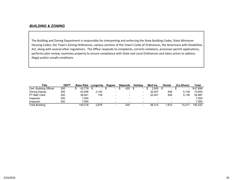#### *BUILDING & ZONING*

The Building and Zoning Department is responsible for interpreting and enforcing the State Building Codes, State Minimum Housing Codes, the Town's Zoning Ordinances, various sections of the Town's Code of Ordinances, the Americans with Disabilities Act, along with several other regulations. The Office responds to complaints, corrects violations, processes permit applications, performs plan review, examines property to ensure compliance with State and Local Ordinances and takes action to address illegal and/or unsafe conditions.

| Title                   | <b>DEPT</b> | <b>Base Rate</b> | Longevity | <b>Dearee</b>            | <b>Stipends</b> | <b>Holidav</b> | <b>Med Ins</b> | Dental         | (Co-Share)               | <b>Total</b> |
|-------------------------|-------------|------------------|-----------|--------------------------|-----------------|----------------|----------------|----------------|--------------------------|--------------|
| Cert. Building Official | 300         | 43.779           | $\sim$    | $\overline{\phantom{a}}$ | 420             | - \$<br>-      | 3.500          | $\blacksquare$ | $\overline{\phantom{0}}$ | \$47.699     |
| <b>Zoning Deputy</b>    | 300         | 53.498           | 2.140     |                          | -               |                | 22.407         | 936            | 5.136                    | 73.845       |
| PT B&Z Clerk            | 300         | 36.941           | 739       | $\overline{\phantom{0}}$ |                 |                | 22.407         | 936            | 5.136                    | 55.887       |
| Inspector               | 300         | 7.500            |           |                          |                 |                |                |                |                          | 500.'        |
| Inspector               | 300         | 7.500            | $\sim$    |                          |                 |                | $\sim$         |                | $\,$                     | 500.'        |
| <b>Total Building</b>   |             | 149.218          | 2.879     |                          | 420             |                | 48.314         | ∣.872          | 10.271                   | 192,432      |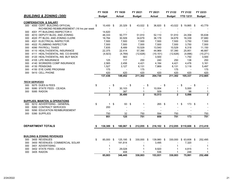|     |                                            | FY 19/20                       |      | FY 19/20       | FY 20/21       | FY 20/21      |            |     | FY 21/22                 | FY 21/22             | FY 22/23                |
|-----|--------------------------------------------|--------------------------------|------|----------------|----------------|---------------|------------|-----|--------------------------|----------------------|-------------------------|
|     | <b>BUILDING &amp; ZONING (300)</b>         | <b>Budget</b>                  |      | <b>Actual</b>  | <b>Budget</b>  | <b>Actual</b> |            |     | <b>Budget</b>            | <b>YTD 12/31</b>     | <b>Budget</b>           |
|     | <b>COMPENSATION &amp; SALARY</b>           |                                |      |                |                |               |            |     |                          |                      |                         |
| 300 | 4000 CERT. BUILDING OFFICIAL               | 10,400 \$<br>\$                |      | 20,329 \$      | 43,022 \$      |               | 36,820 \$  |     | 43,022                   | $$19,865$ \$         | 43,779                  |
|     | RICHMOND REIMBURSEMENT (16 hrs per week    |                                |      |                |                |               |            |     |                          |                      |                         |
| 300 | 4001 PT BUILDING INSPECTOR II              | 14,820                         |      | $\blacksquare$ |                |               |            |     |                          |                      |                         |
| 300 | 4010 DEPUTY BLDG, AND ZONING               | 48,333                         |      | 50,777         | 51,910         |               | 52,110     |     | 51,910                   | 24,358               | 55,638                  |
| 300 | 4020 PT BLDG. AND ZONING CLERK             | 18,784                         |      | 30,509         | 34,679         |               | 36,178     |     | 34,679                   | 16,339               | 37,680                  |
| 300 | 4021 ELECTRICAL INSPECTOR                  | 7,500                          |      | 7,500          | 7,500          |               | 7,500      |     | 7,500                    | 3,750                | 7,500                   |
| 300 | 4022 PLUMBING INSPECTOR                    | 7,500                          |      | 7,500          | 7,500          |               | 7,500      |     | 7,500                    | 3,750                | 7,500                   |
| 300 | 4090 PAYROLL TAXES                         | 7,835                          |      | 8,489          | 10,529         |               | 13,540     |     | 10,529                   | 6,318                | 11,150                  |
| 300 | 4110 HEALTH/DENTAL INSURANCE               | 22,375                         |      | 22,414         | 57,390         |               | 44,969     |     | 57,390                   | 25,951               | 46,687                  |
| 300 | 4111 HEALTH/DENTAL INS. CO-SHARE           | (4,923)                        |      | (4,769)        | (12, 626)      |               | (10, 101)  |     | (12, 626)                | (4,896)              | (10, 271)               |
| 300 | 4120 HEALTH/DENTAL INS. BUY BACK           |                                |      | 583            | $\blacksquare$ |               | 3,500      |     | $\overline{\phantom{a}}$ | 1,750                | 3,500                   |
| 300 | 4105 LIFE INSURANCE                        | 125                            |      | 117            | 250            |               | 240        |     | 250                      | 138                  | 250                     |
| 300 | 4140 WORKERS COMP INSURANCE                | 2,565                          |      | 2,456          | 4,421          |               | 4,184      |     | 4,421                    | 4,476                | 3,161                   |
| 300 | 4130 PENSIONS                              | 1,527                          |      | 3,127          | 6,131          |               | 7,869      |     | 6,131                    | 3,118                | 5,497                   |
| 300 | 4150 EYE CARE PROGRAM                      | 175                            |      |                | 175            |               |            |     | 175                      |                      | 175                     |
| 300 | 5410 CELL PHONE                            | 420                            |      | 420            | 420            |               | 420        |     | 420                      | 420                  | 420                     |
|     |                                            | 137,436                        |      | 149,452        | 211,302        |               | 204,730    |     | 211,302                  | 105,337              | 212,665                 |
|     | <b>TECH SERVICES</b>                       |                                |      |                |                |               |            |     |                          |                      |                         |
| 300 | 5075 DUES & FEES                           | \$<br>$\overline{\phantom{a}}$ | \$   | $-$ \$         | $\blacksquare$ | \$            | $\sim$     | \$  |                          | \$<br>$\sim$         | \$                      |
| 300 | 5080 STATE FEES - CE/ADA                   | $\mathbf{1}$                   |      | 30,103         | $\mathbf{1}$   |               | 10,004     |     | $\mathbf{1}$             | 5,000                | $\mathbf{1}$            |
| 300 | 5085 RADON                                 | 1                              |      | 387            | 1              |               | 509        |     | 1                        | 98                   | $\mathbf{1}$            |
|     |                                            | $\overline{\mathbf{2}}$        |      | 30,490         | $\overline{2}$ |               | 10,513     |     | $\overline{2}$           | 5,098                | $\overline{\mathbf{2}}$ |
|     | <b>SUPPLIES, MAINTEN. &amp; OPERATIONS</b> |                                |      |                |                |               |            |     |                          |                      |                         |
| 300 | 5010 ADVERTISING - GENERAL                 | \$<br>1                        | \$   | 93             | \$<br>1        |               | 265        | \$  | $\mathbf 1$              | \$<br>173            | \$<br>$\mathbf{1}$      |
| 300 | 5060 CONTRACT SERVICES                     | 200                            |      | $\blacksquare$ |                |               |            |     |                          |                      |                         |
| 300 | 5090 EDUCATION REIMBURSEMENT               |                                |      |                |                |               |            |     |                          |                      |                         |
| 300 | 5390 SUPPLIES                              | 750                            |      | 32             | 750            |               | 594        |     | 750                      |                      | 750                     |
|     |                                            | 951                            |      | 125            | 751            |               | 859        |     | 751                      | 173                  | 751                     |
|     |                                            |                                |      |                |                |               |            |     |                          |                      |                         |
|     | <b>DEPARTMENT TOTALS</b>                   | 138,389                        | \$   | 180,067 \$     | 212,055 \$     |               | 216,102 \$ |     |                          | 212,055 \$110,608 \$ | 213,418                 |
|     |                                            |                                |      |                |                |               |            |     |                          |                      |                         |
|     | <b>BUILDING &amp; ZONING REVENUES</b>      |                                |      |                |                |               |            |     |                          |                      |                         |
| 300 | 3400 REVENUES                              | \$<br>85,000                   | - \$ | 125,195 \$     | 330,000 \$     |               | 139,980    | -\$ | 330,000                  | $$63,608$ \$         | 252,495                 |
| 300 | 3400 REVENUES- COMMERCIAL SOLAR            |                                |      | 191,814        |                |               | 3,495      |     |                          | 7,320                |                         |
| 300 | 3401 ADVERTISING                           | 1                              |      |                | 1              |               |            |     | 1                        |                      | 1                       |
| 300 | 3402 STATE FEES - CE/ADA                   |                                |      | 29,028         | 1              |               | 9,920      |     | 1                        | 4,815                | 1                       |
| 300 | 3405 RADON                                 |                                |      | 408            | 1              |               | 536        |     |                          | 248                  | $\mathbf{1}$            |
|     |                                            | 85,003                         |      | 346,445        | 330,003        |               | 153,931    |     | 330,003                  | 75,991               | 252,498                 |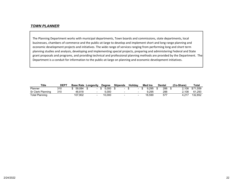#### *TOWN PLANNER*

The Planning Department works with municipal departments, Town boards and commissions, state departments, local businesses, chambers of commerce and the public‐at‐large to develop and implement short and long range planning and economic development projects and initiatives. The wide range of services ranging from performing long and short term planning studies and analysis, developing and implementing special projects, preparing and administering Federal and State grant proposals and programs, and providing technical and professional planning methods are provided by the Department. The Department is a conduit for information to the public-at-large on planning and economic development initiatives.

| Title             | DEP1 |         | <b>Base Rate Longevity</b> | <b>Degree</b> | <b>Stipends</b> | <b>Holidav</b> | <b>Med Ins</b> | Dentai   | (Co-Share) | Total    |
|-------------------|------|---------|----------------------------|---------------|-----------------|----------------|----------------|----------|------------|----------|
| <b>Planner</b>    | 310  | 59.084  |                            | 5.000         |                 |                | 9.295          | 288      | 2.108      | \$71.559 |
| Sr Clerk Planning | 310  | 48.818  |                            | 5.000         |                 |                | 9.295          | 288      | 2.108      | 61.293   |
| Total Planning    |      | 107,902 |                            | 10,000        |                 |                | 18.590         | $57^{-}$ |            | 132,852  |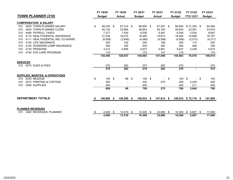|                                                          |    | FY 19/20      |     | FY 19/20      |      | FY 20/21      | FY 20/21      | FY 21/22      | FY 21/22            |      | FY 22/23      |
|----------------------------------------------------------|----|---------------|-----|---------------|------|---------------|---------------|---------------|---------------------|------|---------------|
| <b>TOWN PLANNER (310)</b>                                |    | <b>Budget</b> |     | <b>Actual</b> |      | <b>Budget</b> | <b>Actual</b> | <b>Budget</b> | <b>YTD 12/31</b>    |      | <b>Budget</b> |
| <b>COMPENSATION &amp; SALARY</b>                         |    |               |     |               |      |               |               |               |                     |      |               |
| 4000 TOWN PLANNER SALARY<br>310                          | \$ | 58,235        | -\$ | 67,314 \$     |      | 66,800 \$     | 67,057 \$     | 66,800        | $$31,345$ \$        |      | 64,084        |
| 4020 TOWN PLANNER CLERK<br>310                           |    | 45,140        |     | 33,865        |      | 48,843        | 49.183        | 48,843        | 23,291              |      | 53,818        |
| 4090 PAYROLL TAXES<br>310                                |    | 7,377         |     | 7,430         |      | 8,536         | 8,581         | 8,536         | 4,026               |      | 8,697         |
| 4110 HEALTH/DENTAL INSURANCE<br>310                      |    | 31,539        |     | 19,015        |      | 18,484        | 19,913        | 18,484        | 10,668              |      | 19,167        |
| 4111 HEALTH/DENTAL INS. CO-SHARE<br>310                  |    | (6,938)       |     | (3,849)       |      | (4,066)       | (4,066)       | (4,066)       | (2,013)             |      | (4, 217)      |
| 4105 LIFE INSURANCE<br>310                               |    | 250           |     | 142           |      | 250           | 198           | 250           | 114                 |      | 250           |
| 4140 WORKERS COMP INSURANCE<br>310                       |    | 350           |     | 335           |      | 404           | 382           | 404           | 409                 |      | 330           |
| 4130 PENSIONS<br>310                                     |    | 3,412         |     | 4,685         |      | 5,637         | 5,661         | 5,637         | 2,236               |      | 4,610         |
| 4150 EYE CARE PROGRAM<br>310                             |    | 175           |     |               |      | 175           | 147           | 175           |                     |      | 175           |
|                                                          |    | 139,540       |     | 128,937       |      | 145,063       | 147,056       | 145,063       | 70,076              |      | 146,914       |
| <b>SERVICES</b>                                          |    |               |     |               |      |               |               |               |                     |      |               |
| 5075 DUES & FEES<br>310                                  |    | 270           |     | 283           |      | 270           | 283           | 270           |                     |      | 270           |
|                                                          |    | 270           |     | 283           |      | 270           | 283           | 270           |                     |      | 270           |
| SUPPLIES, MAINTEN. & OPERATIONS                          |    |               |     |               |      |               |               |               |                     |      |               |
| 5230 MILEAGE<br>310                                      | \$ | 100           | \$  | 86            | \$   | 100S          |               | \$<br>100     | - \$                | - \$ | 100           |
| 5270 PRINTING & COPYING<br>310                           |    | 300           |     |               |      | 200           | 275           | 200           | 2,429               |      | 200           |
| 5390 SUPPLIES<br>310                                     |    | 450           |     |               |      | 400           |               | 400           | 211                 |      | 400           |
|                                                          |    | 850           |     | 86            |      | 700           | 275           | 700           | 2,640               |      | 700           |
|                                                          |    |               |     |               |      |               |               |               |                     |      |               |
| <b>DEPARTMENT TOTALS</b>                                 | S  | 140,660 \$    |     | 129,306 \$    |      | $146,033$ \$  | $147,614$ \$  |               | 146,033 \$72,716 \$ |      | 147,884       |
|                                                          |    |               |     |               |      |               |               |               |                     |      |               |
| <b>PLANNER REVENUES</b><br>3400 REVENUES: PLANNER<br>310 | \$ | 4,000         | \$  | 13,519        | - \$ | $10,300$ \$   | 33,890        | \$<br>10,300  | $5,607$ \$<br>\$.   |      | 17,000        |
|                                                          |    | 4,000         |     | 13,519        |      | 10,300        | 33,890        | 10,300        | 5,607               |      | 17,000        |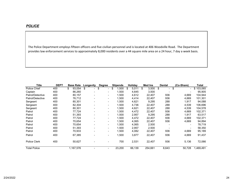The Police Department employs fifteen officers and five civilian personnel and is located at 406 Woodville Road. The Department provides law enforcement services to approximately 8,000 residents over <sup>a</sup> 44 square mile area on <sup>a</sup> 24 hour, 7 day <sup>a</sup> week basis.

| <b>Title</b>        | <b>DEPT</b> | <b>Base Rate</b> | Longevity                |                              | <b>Degree</b>                  | <b>Stipends</b> | Holiday     | Med Ins     | Dental                         | (Co-Share)                     | Total     |
|---------------------|-------------|------------------|--------------------------|------------------------------|--------------------------------|-----------------|-------------|-------------|--------------------------------|--------------------------------|-----------|
| Police Chief        | 400         | \$<br>93,054     | \$                       | $\overline{\phantom{0}}$     | \$<br>$\overline{\phantom{0}}$ | \$<br>,500      | \$<br>5,011 | \$<br>3,500 | \$<br>$\overline{\phantom{0}}$ | \$<br>$\overline{\phantom{0}}$ | \$103,065 |
| Captain             | 400         | 86,260           |                          | $\qquad \qquad \blacksquare$ | $\overline{\phantom{0}}$       | 1,500           | 4,645       | 3,500       |                                |                                | 95,905    |
| Patrol/Detective    | 400         | 80,157           |                          |                              | -                              | 1,500           | 4,612       | 22,407      | 936                            | 4,669                          | 104,944   |
| Patrol/Detective    | 400         | 76,712           |                          | $\overline{\phantom{0}}$     | $\blacksquare$                 | 1,500           | 4,414       | 22,407      | 936                            | 4,669                          | 101,301   |
| Sergeant            | 400         | 80,301           | $\overline{\phantom{a}}$ |                              | $\blacksquare$                 | 1,500           | 4,621       | 9,295       | 288                            | 1,917                          | 94,088    |
| Sergeant            | 400         | 82,304           | $\overline{\phantom{a}}$ |                              | $\blacksquare$                 | 1,500           | 4,736       | 22,407      | 288                            | 4,539                          | 106,696   |
| Sergeant            | 400         | 80,301           | $\overline{\phantom{a}}$ |                              | -                              | 1,500           | 4,621       | 22,407      | 288                            | 4,539                          | 104,578   |
| Patrol              | 400         | 77,724           |                          | $\overline{\phantom{0}}$     | -                              | 1,500           | 4,472       | 22,407      | 936                            | 4,669                          | 102,371   |
| Patrol              | 400         | 51,393           |                          |                              | $\blacksquare$                 | 1,500           | 2,957       | 9,295       | 288                            | 1,917                          | 63,517    |
| Patrol              | 400         | 77,724           |                          | $\qquad \qquad \blacksquare$ | $\blacksquare$                 | 1,500           | 4,472       | 22,407      | 936                            | 4,669                          | 102,371   |
| Patrol              | 400         | 70,654           |                          | $\overline{\phantom{0}}$     | $\blacksquare$                 | 1,500           | 4,065       | 22,407      | 936                            | 4,669                          | 94,894    |
| Patrol              | 400         | 70,654           | $\overline{\phantom{a}}$ |                              | $\blacksquare$                 | 1,500           | 4,065       | 2,500       | $\overline{\phantom{0}}$       | -                              | 78,719    |
| Patrol              | 400         | 51,393           |                          | $\qquad \qquad \blacksquare$ | -                              | 1,500           | 2,957       | 2,500       |                                |                                | 58,350    |
| Patrol              | 400         | 70,933           |                          |                              | $\blacksquare$                 | 1,500           | 4,082       | 22,407      | 936                            | 4,669                          | 95,189    |
| Patrol              | 400         | 67,385           |                          |                              | $\overline{\phantom{0}}$       | 1,500           | 3,877       | 22,407      | 936                            | 4,669                          | 91,437    |
| <b>Police Clerk</b> | 400         | 50,627           |                          |                              |                                | 700             | 2,531       | 22,407      | 936                            | 5,136                          | 72,066    |
| <b>Total Police</b> |             | 1,167,576        | $\overline{\phantom{0}}$ |                              | $\blacksquare$                 | 23,200          | 66,139      | 254,661     | 8,643                          | 50.728                         | 1,469,491 |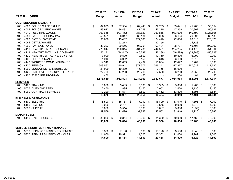|                 |                                            | FY 19/20         | FY 19/20      | FY 20/21      | FY 20/21      | FY 21/22      | FY 21/22         | FY 22/23       |
|-----------------|--------------------------------------------|------------------|---------------|---------------|---------------|---------------|------------------|----------------|
|                 | <b>POLICE (400)</b>                        | <b>Budget</b>    | <b>Actual</b> | <b>Budget</b> | <b>Actual</b> | <b>Budget</b> | <b>YTD 12/31</b> | <b>Budget</b>  |
|                 | <b>COMPENSATION &amp; SALARY</b>           |                  |               |               |               |               |                  |                |
| 400             | 4000 POLICE CHIEF SALARY                   | \$<br>82,633 \$  | 87,504 \$     | 89,441 \$     | 89,785 \$     | 89,441 \$     | 41,968           | \$<br>93,054   |
| 400             | 4001 POLICE CLERK WAGES                    | 53,923           | 36,431        | 47,258        | 47,215        | 47,258        | 20,902           | 50,627         |
| 400             | 4010 FULL TIME WAGES                       | 900,668          | 927,462       | 983,620       | 963,818       | 983,620       | 440,690          | 1,023,895      |
| 400             | 4050 PATROL HOLIDAY PAY                    | 58,561           | 56,047        | 63,134        | 60,088        | 63,134        | 29,997           | 66,139         |
| 400             | 4060 PATROL OVERTIME                       | 96,000           | 113,482       | 122,000       | 124,490       | 122,000       | 78,018           | 128,173        |
| 400             | 4061 DETAIL WAGES                          | $\mathbf{1}$     | 92,273        | $\mathbf{1}$  | 52,155        | $\mathbf{1}$  | 24,728           | $\overline{1}$ |
| 400             | 4090 PAYROLL TAXES                         | 89,223           | 99,556        | 98,701        | 99,191        | 98,701        | 46,504           | 102,997        |
| 400             | 4110 HEALTH/DENTAL INSURANCE               | 273,617          | 220,314       | 234,235       | 244,501       | 234,235       | 134,175          | 251,304        |
| 400             | 4111 HEALTH/DENTAL INS. CO-SHARE           | (55, 171)        | (44, 447)     | (46, 598)     | (46, 238)     | (46, 598)     | (23, 283)        | (50, 728)      |
| 400             | 4120 HEALTH/DENTAL INS. BUY BACK           | 7,000            | 9,500         | 10,500        | 10,750        | 10,500        | 6,000            | 12,000         |
| 400             | 4105 LIFE INSURANCE                        | 1,940            | 3,082         | 3,150         | 3,618         | 3,150         | 2,019            | 3,150          |
| 400             | 4140 WORKERS COMP INSURANCE                | 14,542           | 12,859        | 12,492        | 10,804        | 12,492        | 5,207            | 13,031         |
| 400             | 4130 PENSION                               | 309,563          | 340,941       | 377,377       | 366,241       | 377,377       | 167,022          | 411,722        |
| 400             | 5090 EDUCATION REIMBURSEMENT               | 21,000           | 10,339        | 16,000        | 3,755         | 16,000        |                  | 8,000          |
| 400             | 5425 UNIFORM CLEANING/ CELL PHONE          | 22,700           | 17,250        | 23,200        | 22,500        | 23,200        | 8,250            | 23,200         |
| 400             | 4150 EYE CARE PROGRAM                      | 450              |               | 450           |               | 450           | 94               | 450            |
|                 |                                            | 1,876,649        | 1,982,593     | 2,034,963     | 2,052,673     | 2,034,963     | 982,291          | 2,137,014      |
| <b>SERVICES</b> |                                            |                  |               |               |               |               |                  |                |
| 400             | 5420 TRAINING                              | \$<br>$5,000$ \$ | 5,465 \$      | $5,000$ \$    | $1,969$ \$    | $5,000$ \$    | $1,965$ \$       | 10,000         |
| 400             | 5075 DUES AND FEES                         | 2,450            | 1,895         | 2,450         | 2,052         | 2,450         | 2,130            | 2,450          |
| 400             | 5060 CONTRACT SERVICES                     | 12,220           | 11,571        | 13,500        | 12,462        | 13,500        | 8,396            | 18,884         |
|                 |                                            | 19,670           | 18,931        | 20,950        | 16,484        | 20,950        | 12,491           | 31,334         |
|                 | <b>BUILDING &amp; OPERATIONS</b>           |                  |               |               |               |               |                  |                |
| 400             | 5100 ELECTRIC                              | \$<br>18,500 \$  | $15,131$ \$   | $17,010$ \$   | 16,809 \$     | 17,010 \$     | 7,598 \$         | 17,000         |
| 400             | 5150 HEATING                               | 6,000            | 2,781         | 9,000         | 3,676         | 9,000         | 1,279            | 4,000          |
| 400             | 5390 SUPPLIES                              | 5,000            | 3,514         | 5,000         | 3,067         | 5,000         | (7,657)          | 5,000          |
|                 |                                            | 29,500           | 21,426        | 31,010        | 23,552        | 31,010        | 1,220            | 26,000         |
|                 | <b>MOTOR FUELS</b>                         |                  |               |               |               |               |                  |                |
|                 | 400 5140 GAS - CRUISERS                    | \$<br>38,000 \$  | $30,814$ \$   | 40,000 \$     | 31,350 \$     | 40,000 \$     | 17,460 \$        | 40,000         |
|                 |                                            | 38,000           | 30,814        | 40,000        | 31,350        | 40,000        | 17,460           | 40,000         |
|                 | <b>VEHICLE &amp; EQUIPMENT MAINTENANCE</b> |                  |               |               |               |               |                  |                |
| 400             | 5310 REPAIRS & MAINT - EQUIPMENT           | \$<br>$3,500$ \$ | $7,190$ \$    | $3,500$ \$    | 13,126 \$     | $3,500$ \$    | $1,340$ \$       | 3,500          |
| 400             | 5330 REPAIRS & MAINT - VEHICLES            | 11,000           | 10,971        | 11,000        | 10,362        | 11,000        | 4,782            | 11,000         |
|                 |                                            | 14,500           | 18,161        | 14,500        | 23,488        | 14,500        | 6,122            | 14,500         |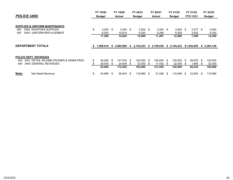|                              |                                                | FY 19/20      |            | FY 19/20      |     | FY 20/21      |     | FY 20/21      |     | FY 21/22      |     | FY 21/22         |      | FY 22/23      |
|------------------------------|------------------------------------------------|---------------|------------|---------------|-----|---------------|-----|---------------|-----|---------------|-----|------------------|------|---------------|
| <b>POLICE (400)</b>          |                                                | <b>Budget</b> |            | <b>Actual</b> |     | <b>Budget</b> |     | <b>Actual</b> |     | <b>Budget</b> |     | <b>YTD 12/31</b> |      | <b>Budget</b> |
|                              |                                                |               |            |               |     |               |     |               |     |               |     |                  |      |               |
|                              | <b>SUPPLIES &amp; UNIFORM MAINTENANCE</b>      |               |            |               |     |               |     |               |     |               |     |                  |      |               |
| 400                          | \$<br>5400 WEAPONS SUPPLIES                    |               | $3,500$ \$ | $3,425$ \$    |     | $3,500$ \$    |     | $3,204$ \$    |     | $3,500$ \$    |     | $3,377$ \$       |      | 5,000         |
| 400                          | 5440 UNIFORM REPLACEMENT                       | 8,000         |            | 10,618        |     | 9,300         |     | 8,286         |     | 9,300         |     | 3,932            |      | 9,300         |
|                              |                                                | 11,500        |            | 14,043        |     | 12,800        |     | 11,491        |     | 12,800        |     | 7,309            |      | 14,300        |
|                              |                                                |               |            |               |     |               |     |               |     |               |     |                  |      |               |
| <b>DEPARTMENT TOTALS</b>     |                                                | 1,989,819     | s.         | 2,085,968     | s.  | 2,154,223     |     | \$2,159,038   | S.  | 2,154,223     |     | \$1,026,893      |      | \$2,263,148   |
|                              |                                                |               |            |               |     |               |     |               |     |               |     |                  |      |               |
| <b>POLICE DEPT. REVENUES</b> |                                                |               |            |               |     |               |     |               |     |               |     |                  |      |               |
| 400                          | 3401 DETAIL INCOME: CRUISER & ADMIN FEES<br>\$ | 55,000 \$     |            | 147,916       | -\$ | 120,000       | \$  | 104,093       | -\$ | 120,000       | -\$ | 58,678           | -\$  | 120,000       |
| 400                          | 3400 GENERAL REVENUES<br>S                     | 28,000        | -S         | 24,609        | S.  | 32,000        | S   | 17,452        | - 5 | 32,000        | S.  | .665             | S    | 32,000        |
|                              |                                                | 83,000        |            | 172,525       |     | 152,000       |     | 121,545       |     | 152,000       |     | 60,343           |      | 152,000       |
| Note:                        | Net Detail Revenue<br>\$                       | 54,999        | S          | 55,643        | S   | 119,999       | -SS | 51,938        | \$  | 119,999       | S   | 33,950           | - \$ | 119,999       |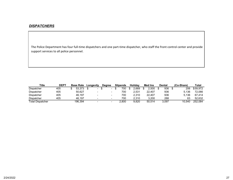#### *DISPATCHERS*

The Police Department has four full‐time dispatchers and one part‐time dispatcher, who staff the front control center and provide support services to all police personnel.

| Title                   | <b>DEPT</b> | <b>Base Rate</b> | Longevity                | Dearee                   | <b>Stipends</b> | Holidav | Med Ins | <b>Dental</b> | (Co-Share) | Total    |
|-------------------------|-------------|------------------|--------------------------|--------------------------|-----------------|---------|---------|---------------|------------|----------|
| <b>Dispatcher</b>       | 405         | 53.373           | $\blacksquare$           | $\overline{\phantom{a}}$ | 700             | 2.669   | 2.500   | 936           | 206        | \$59.972 |
| <b>Dispatcher</b>       | 405         | 50.627           | $\overline{\phantom{0}}$ | $\overline{\phantom{a}}$ | 700             | 2.531   | 22.407  | 936           | 5.136      | 72.066   |
| Dispatcher              | 405         | 46.197           | $\overline{\phantom{0}}$ | $\overline{\phantom{a}}$ | 700             | 2.310   | 22.407  | 936           | 5.136      | 67.414   |
| <b>Dispatcher</b>       | 405         | 46.197           | -                        | $\overline{\phantom{a}}$ | 700             | 2.310   | 3.200   | 288           | 63         | 52.632   |
| <b>Total Dispatcher</b> |             | 196.394          | $\overline{\phantom{a}}$ | $\overline{\phantom{a}}$ | 2.800           | 9.820   | 50.514  | 3.097         | 10.540     | 252.084  |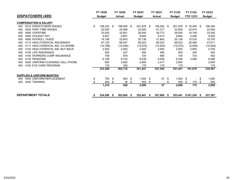|     |                                        | FY 19/20         |      | FY 19/20      |     | FY 20/21      | FY 20/21             |     | FY 21/22             | FY 21/22             |      | FY 22/23      |
|-----|----------------------------------------|------------------|------|---------------|-----|---------------|----------------------|-----|----------------------|----------------------|------|---------------|
|     | <b>DISPATCHERS (405)</b>               | <b>Budget</b>    |      | <b>Actual</b> |     | <b>Budget</b> | <b>Actual</b>        |     | <b>Budget</b>        | <b>YTD 12/31</b>     |      | <b>Budget</b> |
|     | <b>COMPENSATION &amp; SALARY</b>       |                  |      |               |     |               |                      |     |                      |                      |      |               |
| 405 | 4015 DISPATCHERS WAGES                 | \$<br>198,332 \$ |      | 188,508 \$    |     | 201,878 \$    | 158,292 \$           |     | 201,878              | $$78,449$ \$         |      | 196,394       |
| 405 | 4020 PART TIME WAGES                   | 20,000           |      | 42,069        |     | 22,000        | 61,317               |     | 22,000               | 22,574               |      | 22,000        |
| 405 | 4060 OVERTIME                          | 23,000           |      | 32,801        |     | 28,000        | 36,773               |     | 28,000               | 16,149               |      | 32,000        |
| 405 | 4050 HOLIDAY PAY                       | 9,627            |      | 9,807         |     | 9,844         | 9,513                |     | 9,844                | 4,426                |      | 9,820         |
| 405 | 4090 PAYROLL TAXES                     | 19,198           |      | 23,643        |     | 20,136        | 21,842               |     | 20,136               | 10,516               |      | 19,750        |
| 405 | 4110 HEALTH/DENTAL INSURANCE           | 67,125           |      | 66,047        |     | 68,523        | 68,523               |     | 68,523               | 26,466               |      | 47,911        |
| 405 | 4111 HEALTH/DENTAL INS. CO-SHARE       | (14, 768)        |      | (15,636)      |     | (15,075)      | (14, 504)            |     | (15,075)             | (5,009)              |      | (10, 540)     |
| 405 | 4120 HEALTH/DENTAL INS. BUY BACK       | 2,500            |      | 2,500         |     | 2,500         | 3,083                |     | 2,500                | 2,850                |      | 5,700         |
| 405 | 4105 LIFE INSURANCE                    | 500              |      | 427           |     | 500           | 490                  |     | 500                  | 345                  |      | 500           |
| 405 | 4140 WORKERS COMP INSURANCE            | 708              |      | 678           |     | 724           | 685                  |     | 724                  | 733                  |      | 592           |
| 405 | 4130 PENSIONS                          | 6,189            |      | 8,722         |     | 9,436         | 8,936                |     | 9,436                | 3,580                |      | 8,286         |
| 405 | 5425 UNIFORM CLEANING/ CELL PHONE      | 800              |      | 2,800         |     | 2,800         | 2,417                |     | 2,800                |                      |      | 2,800         |
| 405 | 4150 EYE CARE PROGRAM                  | 175              |      | 350           |     | 175           | 175                  |     | 175                  |                      |      | 175           |
|     |                                        | 333,388          |      | 362,716       |     | 351,441       | 357,544              |     | 351,441              | 161,079              |      | 335,387       |
|     | <b>SUPPLIES &amp; UNIFORM MAINTEN.</b> |                  |      |               |     |               |                      |     |                      |                      |      |               |
| 405 | 5440 UNIFORM REPLACEMENT               | \$<br>750 \$     |      | 900           | -\$ | $1,500$ \$    | 57                   | -\$ | 1,500                | \$<br>$\blacksquare$ | - \$ | 1,500         |
| 405 | 5420 TRAINING                          | 460              | \$   | 38            | \$  | 500           | \$<br>$\blacksquare$ | \$  | 500                  | \$<br>175            | -\$  | 500           |
|     |                                        | 1,210            |      | 938           |     | 2,000         | 57                   |     | 2,000                | 175                  |      | 2,000         |
|     | <b>DEPARTMENT TOTALS</b>               | \$<br>334,598    | - 56 | $363,654$ \$  |     | $353,441$ \$  | 357,600 \$           |     | 353,441 \$161,254 \$ |                      |      | 337,387       |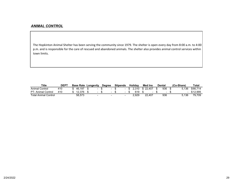#### *ANIMAL CONTROL*

The Hopkinton Animal Shelter has been serving the community since 1979. The shelter is open every day from 8:00 a.m. to 4:00 p.m. and is responsible for the care of rescued and abandoned animals. The shelter also provides animal control services within town limits.

| <b>Title</b>                | <b>DEP</b> | <b>Base Rate Longevity</b> |        | <b>Degree</b> |        | <b>Stipends</b> |  | Holidav | <b>Med Ins</b>            | Dental | (Co-Share) |                | Total    |
|-----------------------------|------------|----------------------------|--------|---------------|--------|-----------------|--|---------|---------------------------|--------|------------|----------------|----------|
| Animal Control              | 410        | 46.197                     |        |               |        |                 |  |         | $$2.310 \text{ } $22.407$ | 936    |            | 5.136          | \$66.714 |
| PT- Animal Control          | 410        | 12.376                     | $\sim$ |               | $\sim$ |                 |  | 619     | - 1                       |        |            | $\blacksquare$ | \$12.995 |
| <b>Total Animal Control</b> |            | 58.573                     | $\sim$ |               |        |                 |  | 2.929   | 22.407                    | 936    |            | 5.136          | 79.709   |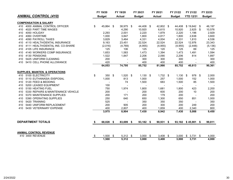|     |                                            |     | FY 19/20      |     | FY 19/20      | FY 20/21      |      | FY 20/21      | FY 21/22           | FY 21/22         |     | FY 22/23      |
|-----|--------------------------------------------|-----|---------------|-----|---------------|---------------|------|---------------|--------------------|------------------|-----|---------------|
|     | <b>ANIMAL CONTROL (410)</b>                |     | <b>Budget</b> |     | <b>Actual</b> | <b>Budget</b> |      | <b>Actual</b> | <b>Budget</b>      | <b>YTD 12/31</b> |     | <b>Budget</b> |
|     | <b>COMPENSATION &amp; SALARY</b>           |     |               |     |               |               |      |               |                    |                  |     |               |
| 410 | 4000 ANIMAL CONTROL OFFICER                | \$  | 45,864 \$     |     | 38,975 \$     | 44,408 \$     |      | 42,802 \$     | 44,408             | \$19,642         | \$  | 46,197        |
| 410 | 4020 PART TIME WAGES                       |     |               |     | 4,290         | 10,920        |      | 6,615         | 10,920             | 2,625            | -\$ | 10,576        |
| 410 | 4050 HOLIDAY                               |     | 2,293         |     | 2,001         | 2,220         |      | 1,879         | 2,220              | 1,196            |     | 2,929         |
| 410 | 4060 OVERTIME                              |     | 1,000         |     | 3,847         | 1,800         |      | 4,817         | 1,800              | 2,638            |     | 3,600         |
| 410 | 4090 PAYROLL TAXES                         |     | 3,829         |     | 3,464         | 4,331         |      | 4,004         | 4,331              | 1,810            |     | 4,536         |
| 410 | 4110 HEALTH/DENTAL INSURANCE               |     | 9,163         |     | 23,451        | 22,524        |      | 22,524        | 22,524             | 12,976           |     | 23,343        |
| 410 | 4111 HEALTH/DENTAL INS. CO-SHARE           |     | (2,016)       |     | (4,769)       | (4, 955)      |      | (4, 955)      | (4, 955)           | (2, 448)         |     | (5, 136)      |
| 410 | 4105 LIFE INSURANCE                        |     | 125           |     | 106           | 125           |      | 120           | 125                | 69               |     | 125           |
| 410 | 4140 WORKERS COMP INSURANCE                |     | 1,653         |     | 1,583         | 1,473         |      | 1,394         | 1,473              | 1,491            |     | 1,594         |
| 410 | 4130 PENSIONS                              |     | 1,522         |     | 1,847         | 2,206         |      | 2,090         | 2,206              | 814              |     | 1,897         |
| 410 | 5425 UNIFORM CLEANING                      |     | 200           |     |               | 300           |      | 300           | 300                |                  |     | 300           |
| 410 | 5410 CELL PHONE ALLOWANCE                  |     | 420           |     |               | 400           |      | 400           | 400                |                  |     | 400           |
|     |                                            |     | 64,053        |     | 74,795        | 85,752        |      | 81,990        | 85,752             | 40,813           |     | 90,361        |
|     | <b>SUPPLIES, MAINTEN. &amp; OPERATIONS</b> |     |               |     |               |               |      |               |                    |                  |     |               |
| 410 | 5100 ELECTRICITY                           | \$  | 350 \$        |     | $1,520$ \$    | $1,130$ \$    |      | $1,732$ \$    | $1,130$ \$         | 978 \$           |     | 2,000         |
| 410 | 5110 EUTHANASIA /DISPOSAL                  |     | 1,000         |     | 813           | 1,000         |      | 257           | 1,000              | 152              |     | 1,000         |
| 410 | 5120 FEED & BEDDING                        |     |               |     | 74            | 1,500         |      | 683           | 1,500              | 85               |     | 1,500         |
| 410 | 5200 LEASED EQUIPMENT                      |     | 100           |     |               |               |      |               |                    |                  |     |               |
| 410 | 5150 HEATING FUEL                          |     | 750           |     | 1,974         | 1,800         |      | 1,681         | 1,800              | 423              |     | 2,200         |
| 410 | 5330 REPAIRS & MAINTENANCE VEHICLE         |     | 200           |     |               | 200           |      | 600           | 200                | 10               |     | 200           |
| 410 | 5370 MAINTENANCE SUPPLIES                  |     | 200           |     | 171           | 200           |      | 179           | 200                |                  |     | 200           |
| 410 | 5390 OPERATING SUPPLIES                    |     | 250           |     | 640           | 650           |      | 1,300         | 650                | 851              |     | 1,000         |
| 410 | 5420 TRAINING                              |     | 525           |     |               | 350           |      | 350           | 350                |                  |     | 350           |
| 410 | 5440 UNIFORM REPLACEMENT                   |     | 200           |     | 905           | 200           |      | 300           | 200                | 249              |     | 200           |
| 410 | 5430 VETERINARY EXPENSE                    |     | 400           |     | 2,807         | 400           |      | 1,859         | 400                | 2,340            |     | 800           |
|     |                                            |     | 3,975         |     | 8,904         | 7,430         |      | 8,942         | 7,430              | 5,088            |     | 9,450         |
|     |                                            |     |               |     |               |               |      |               |                    |                  |     |               |
|     | <b>DEPARTMENT TOTALS</b>                   |     | 68,028 \$     |     | 83,699 \$     | 93,182 \$     |      | 90,931 \$     | 93,182 \$45,901 \$ |                  |     | 99,811        |
|     |                                            |     |               |     |               |               |      |               |                    |                  |     |               |
|     | <b>ANIMAL CONTROL REVENUE</b>              |     |               |     |               |               |      |               |                    |                  |     |               |
|     | 410 3400 REVENUE                           | -\$ | 1,500         | -\$ | $5,312$ \$    | 3,000         | - \$ | 3,408         | \$<br>3,000        | \$3,731          | \$  | 4,000         |
|     |                                            |     | 1,500         |     | 5,312         | 3,000         |      | 3,408         | 3,000              | 3,731            |     | 4,000         |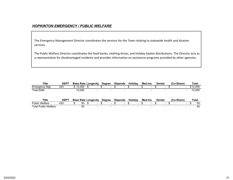#### *HOPKINTON EMERGENCY / PUBLIC WELFARE*

The Emergency Management Director coordinates the services for the Town relating to statewide health and disaster services.

The Public Welfare Director coordinates the food banks, clothing drives, and holiday basket distributions. The Director acts as a representative for disadvantaged residents and provides information on assistance programs provided by other agencies.

| Title                       | <b>DEPT</b> |          | <b>Base Rate Longevity</b> | <b>Degree</b>            | <b>Stipends</b>          | <b>Holidav</b> |   | Med Ins        |                          | Dental        |   | (Co-Share)               |                | Total    |
|-----------------------------|-------------|----------|----------------------------|--------------------------|--------------------------|----------------|---|----------------|--------------------------|---------------|---|--------------------------|----------------|----------|
| Emergency Mgt.              | 420         | \$12,000 | $\sim$                     | $\overline{\phantom{0}}$ | $\overline{\phantom{0}}$ |                | - |                | $\overline{\phantom{0}}$ |               | - |                          | $\blacksquare$ | \$12,000 |
| <b>Total EMA</b>            |             | 12.000   | $\overline{\phantom{0}}$   | $\blacksquare$           |                          |                |   |                |                          |               | - | $\overline{\phantom{a}}$ |                | 12,000   |
| <b>Title</b>                | <b>DEPT</b> |          | <b>Base Rate Longevity</b> | <b>Degree</b>            | <b>Stipends</b>          | <b>Holidav</b> |   | <b>Med Ins</b> |                          | <b>Dental</b> |   | (Co-Share)               |                | Total    |
| <b>Public Welfare</b>       | 430         | 50       | $\overline{\phantom{0}}$   | $\overline{\phantom{0}}$ | $\overline{\phantom{0}}$ |                |   |                | $\overline{\phantom{0}}$ |               |   | $\overline{\phantom{0}}$ |                | 50       |
| <b>Total Public Welfare</b> |             | 50       | $\overline{\phantom{0}}$   | $\overline{\phantom{a}}$ | $\overline{\phantom{a}}$ |                | - |                | -                        |               | - | $\sim$                   |                | 50       |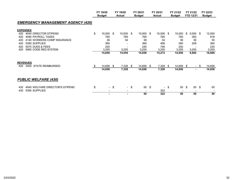|                                          | FY 19/20<br><b>Budget</b> |      | FY 19/20<br><b>Actual</b> |        | FY 20/21<br><b>Budget</b> | FY 20/21<br><b>Actual</b> | FY 21/22<br><b>Budget</b> |      | FY 21/22<br><b>YTD 12/31</b> |     | FY 22/23<br><b>Budget</b> |
|------------------------------------------|---------------------------|------|---------------------------|--------|---------------------------|---------------------------|---------------------------|------|------------------------------|-----|---------------------------|
| <b>EMERGENCY MANAGEMENT AGENCY (420)</b> |                           |      |                           |        |                           |                           |                           |      |                              |     |                           |
| <b>EXPENSES</b>                          |                           |      |                           |        |                           |                           |                           |      |                              |     |                           |
| 4040 DIRECTOR STIPEND<br>420             | \$<br>$10,000$ \$         |      | $10,000$ \$               |        | $10,000$ \$               | $10,000$ \$               | 10,000                    | \$   | $5,000$ \$                   |     | 12,000                    |
| 4090 PAYROLL TAXES<br>420                | 765                       |      | 765                       |        | 765                       | 765                       | 765                       |      | 383                          |     | 918                       |
| 4140 WORKERS COMP INSURANCE<br>420       | 36                        |      | 34                        |        | 36                        | 34                        | 36                        |      | 36                           |     | 35                        |
| 5390 SUPPLIES<br>420                     | 360                       |      |                           |        | 360                       | 469                       | 360                       |      | 208                          |     | 360                       |
| <b>5075 DUES &amp; FEES</b><br>420       | 240                       |      |                           |        | 240                       | 748                       | 240                       |      |                              |     | 240                       |
| 5060 CODE RED SYSTEM<br>420              | 3,255                     |      | 3,255                     |        | 3,255                     | 3,255                     | 3,255                     |      | 3,255                        |     | 3,255                     |
|                                          | 14,656                    |      | 14,054                    |        | 14,656                    | 15,272                    | 14,656                    |      | 8,882                        |     | 16,808                    |
| <b>REVENUES</b>                          |                           |      |                           |        |                           |                           |                           |      |                              |     |                           |
| 3400 STATE REIMBURSED<br>420             | \$<br>14,656              | \$   | 7,328                     | \$     | 14,656 \$                 | 7,328                     | \$<br>14,656 \$           |      | $\sim$                       | -\$ | 14,656                    |
|                                          | 14,656                    |      | 7,328                     |        | 14,656                    | 7,328                     | 14,656                    |      | ۰                            |     | 14,656                    |
| <b>PUBLIC WELFARE (430)</b>              |                           |      |                           |        |                           |                           |                           |      |                              |     |                           |
| 4040 WELFARE DIRECTOR'S STIPEND<br>430   | \$                        | - \$ |                           | $-$ \$ | 50 \$                     | $\blacksquare$            | \$<br>50                  | - \$ | 50 \$                        |     | 50                        |
| 5390 SUPPLIES<br>430                     | $\overline{\phantom{a}}$  |      | $\overline{\phantom{a}}$  |        |                           | 322                       |                           |      |                              |     |                           |
|                                          | $\overline{\phantom{0}}$  |      | ۰                         |        | 50                        | 322                       | 50                        |      | 50                           |     | 50                        |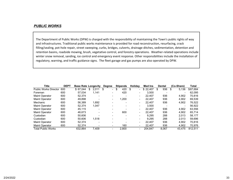#### *PUBLIC WORKS*

The Department of Public Works (DPW) is charged with the responsibility of maintaining the Town's public rights of way and infrastructures. Traditional public works maintenance is provided for road reconstruction, resurfacing, crack filling/sealing, pot-hole repair, street sweeping, curbs, bridges, culverts, drainage ditches, sedimentation, detention and retention basins, roadside mowing, brush, vegetative control, and forestry operations. Weather‐related operations include winter snow removal, sanding, ice control and emergency event response. Other responsibilities include the installation of regulatory, warning, and traffic guidance signs. The fleet garage and gas pumps are also operated by DPW.

| <b>Title</b>          | <b>DEPT</b> | <b>Base Rate Longevity</b> |             | <b>Degree</b>            | <b>Stipends</b> | <b>Holidav</b>           | Med Ins  | Dental   | (Co-Share)               | Total    |
|-----------------------|-------------|----------------------------|-------------|--------------------------|-----------------|--------------------------|----------|----------|--------------------------|----------|
| Public Works Director | 600         | \$67.044                   | 2.011<br>\$ | $\overline{\phantom{0}}$ | 420<br>\$       | $\overline{\phantom{0}}$ | \$22,407 | 936<br>S | 5,136                    | \$87.684 |
| Foreman               | 600         | 57.034                     | 1.141       |                          | 420             | $\overline{\phantom{0}}$ | 3.500    |          | $\overline{\phantom{a}}$ | 62.095   |
| <b>Maint Operator</b> | 600         | 52.374                     |             |                          |                 | $\overline{\phantom{0}}$ | 22.407   | 936      | 4.902                    | 70.816   |
| <b>Maint Operator</b> | 600         | 49.898                     |             | -                        | 1.200           | $\overline{\phantom{0}}$ | 22.407   | 936      | 4,902                    | 69,539   |
| Mechanic              | 600         | 56.389                     | 1.692       |                          |                 | $\blacksquare$           | 22.407   | 936      | 4,902                    | 76.522   |
| Maint Operator        | 600         | 52.374                     | 1.047       |                          |                 |                          | 3.500    |          | $\,$                     | 56,922   |
| <b>Maint Operator</b> | 600         | 45.115                     |             |                          |                 | $\overline{\phantom{0}}$ | 22.407   | 936      | 4.902                    | 63,556   |
| <b>Maint Operator</b> | 600         | 46.673                     |             | -                        | 600             | $\overline{\phantom{0}}$ | 22.407   | 936      | 4.902                    | 65,714   |
| Custodian             | 600         | 50.606                     |             |                          |                 | $\overline{\phantom{0}}$ | 9.295    | 288      | 2.013                    | 58.177   |
| Custodian             | 600         | 50.606                     | 1.518       |                          |                 | $\overline{\phantom{0}}$ | 9.295    | 288      | 2.013                    | 59.696   |
| <b>Maint Operator</b> | 600         | 52.374                     |             |                          |                 | $\overline{\phantom{0}}$ | 22.407   | 936      | 4,902                    | 70.816   |
| <b>Maint Operator</b> | 600         | 52.374                     |             |                          | 160             |                          | 22.407   | 936      | 4,902                    | 70.976   |
| Total Public Works    |             | 632.864                    | 7.409       |                          | 2.800           |                          | 204.847  | 8.067    | 43.475                   | 812.511  |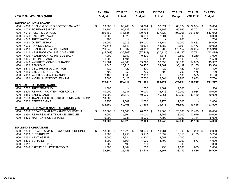|     |                                                   | FY 19/20        | FY 19/20      |     | FY 20/21                 | FY 20/21      | FY 21/22                 |            | FY 21/22                 | FY 22/23      |
|-----|---------------------------------------------------|-----------------|---------------|-----|--------------------------|---------------|--------------------------|------------|--------------------------|---------------|
|     | <b>PUBLIC WORKS (600)</b>                         | <b>Budget</b>   | <b>Actual</b> |     | <b>Budget</b>            | <b>Actual</b> | <b>Budget</b>            |            | <b>YTD 12/31</b>         | <b>Budget</b> |
|     |                                                   |                 |               |     |                          |               |                          |            |                          |               |
|     | <b>COMPENSATION &amp; SALARY</b>                  |                 |               |     |                          |               |                          |            |                          |               |
| 600 | 4000 PUBLIC WORKS DIRECTORS SALARY                | \$<br>63,803 \$ | 66,208        | -\$ | 66,374 \$                | 58,321 \$     | 66,374                   |            | $$29,984$ \$             | 69,056        |
| 600 | 4005 FOREMAN SALARY                               | 53,700          | 55,729        |     | 55,865                   | 53,159        | 55,865                   |            | 26,701                   | 58,175        |
| 600 | 4010 FULL TIME WAGES                              | 486,469         | 474,685       |     | 499,768                  | 427,320       | 499,768                  |            | 201,669                  | 513,042       |
| 600 | 4020 PART TIME WAGES                              | 6,000           | 1,623         |     | 6,000                    | 3,601         | 6,000                    |            |                          | 6,000         |
| 600 | 4040 TREE WARDEN                                  | 700             |               |     | 700                      |               | 700                      |            | $\overline{\phantom{a}}$ | 700           |
| 600 | 4060 OVERTIME PAY                                 | 35,000          | 15,076        |     | 35,000                   | 43,784        | 35,000                   |            | 17,682                   | 35,000        |
| 600 | 4090 PAYROLL TAXES                                | 46,545          | 44,640        |     | 48,691                   | 43,382        | 48,691                   |            | 19,473                   | 49,082        |
| 600 | 4110 HEALTH/DENTAL INSURANCE                      | 210,540         | 173,907       |     | 176,152                  | 156,700       | 176,152                  |            | 84,264                   | 205,913       |
| 600 | 4111 HEALTH/DENTAL INS. CO-SHARE                  | (44, 661)       | (36,909)      |     | (37, 442)                | (30, 114)     | (37, 442)                |            | (15, 741)                | (43, 475)     |
| 600 | 4120 HEALTH/DENTAL INS. BUY BACK                  | 7,000           | 8,750         |     | 10,500                   | 11,375        | 10,500                   |            | 5,250                    | 7,000         |
| 600 | 4105 LIFE INSURANCE                               | 1,500           | 1,191         |     | 1,500                    | 1,328         | 1,500                    |            | 774                      | 1,500         |
| 600 | 4140 WORKERS COMP INSURANCE                       | 51,861          | 49,666        |     | 53,396                   | 50,538        | 53,396                   |            | 54,065                   | 43,367        |
| 600 | 4130 PENSIONS                                     | 19,840          | 26,710        |     | 30,437                   | 24,662        | 30,437                   |            | 10,135                   | 25,308        |
| 600 | 5410 CELL PHONE ALLOWANCE                         | 420             | 420           |     | 420                      | 420           | 420                      |            | 420                      | 420           |
| 600 | 4150 EYE CARE PROGRAM                             | 700             | 350           |     | 700                      | 698           | 700                      |            | 175                      | 700           |
| 600 | 4160 WORK BOOT ALLOWANCE                          | 2,100           | 1,963         |     | 2,100                    | 1,919         | 2,100                    |            | 325                      | 2,100         |
| 600 | 4170 WORK UNIFORMS/CLEANING                       | 5,000           | 6,128         |     | 7,700                    | 8,064         | 7,700                    |            | 2,883                    | 7,700         |
|     |                                                   | 946,517         | 890,137       |     | 957,861                  | 855,156       | 957,861                  |            | 438,059                  | 981,589       |
|     | <b>GENERAL ROAD MAINTENANCE</b>                   |                 |               |     |                          |               |                          |            |                          |               |
| 600 | 5062 TREE TRIMMING                                | 1,500           |               |     | 1,500                    | 1,802         | 1,500                    |            |                          | 1,500         |
| 600 | 5320 REPAIR & MAINTENANCE ROADS                   | 40,000          | 34,987        |     | 40,000                   | 16,736        | 40,000                   |            | 6,986                    | 40,000        |
| 600 | 5350 SALT & SAND                                  | 50,000          | 23,877        |     | 50,000                   | 49,961        | 50,000                   |            | 30,439                   | 50,000        |
| 600 | 5500 TRANSFER TO RESTRICT. FUND-WINTER OPER.      | 10,000          |               |     | $\overline{\phantom{a}}$ |               | $\overline{\phantom{a}}$ |            |                          |               |
| 600 | 5360 STREET SIGNS                                 | 2,750           | 1,602         |     | 2,000                    | 2,276         | 2,000                    |            |                          | 2,000         |
|     |                                                   | 104,250         | 60,466        |     | 93,500                   | 70,775        | 93,500                   |            | 37,425                   | 93,500        |
|     | <b>VEHICLE &amp; EQUIP MAINTENANCE (TOWNWIDE)</b> |                 |               |     |                          |               |                          |            |                          |               |
| 600 | 5310 REPAIRS & MAINTENANCE EQUIPMENT              | \$<br>26,000 \$ | 24,580 \$     |     | 26,000 \$                | 21,600 \$     | 26,000                   |            | $$15,473$ \$             | 26,000        |
| 600 | 5330 REPAIRS & MAINTENANCE VEHICLES               | 18,000          | 15,661        |     | 18,000                   | 24,252        | 18,000                   |            | 12,979                   | 20,000        |
| 600 | 5370 MAINTENANCE SUPPLIES                         | 9,000           | 9,788         |     | 8,000                    | 7,892         | 8,000                    |            | 2,734                    | 8,000         |
|     |                                                   | 53,000          | 50,029        |     | 52,000                   | 53,745        | 52,000                   |            | 31,186                   | 54,000        |
|     |                                                   |                 |               |     |                          |               |                          |            |                          |               |
|     | <b>BUILDING &amp; OPERATIONS</b>                  |                 |               |     |                          |               |                          |            |                          |               |
| 600 | 5300 REPAIRS & MAINT.-TOWNWIDE BUILDING           | \$<br>18,000 \$ | 17,228        | \$  | 18,000 \$                | 11,781 \$     | 18,000                   | $\sqrt{3}$ | $3,289$ \$               | 20,000        |
| 600 | 5100 ELECTRICITY                                  | 5,000           | 4,956         |     | 5,110                    | 5,339         | 5,110                    |            | 2,133                    | 5,200         |
| 600 | 5150 HEATING FUEL                                 | 4,000           | 1,924         |     | 4,200                    | 2,057         | 4,200                    |            |                          | 4,000         |
| 600 | 5390 SUPPLIES                                     | 4,000           | 3,664         |     | 4,000                    | 3,400         | 4,000                    |            | 573                      | 4,000         |
| 600 | 4112 DRUG TESTING                                 | 300             | 190           |     | 300                      |               | 300                      |            |                          | 300           |
| 600 | 5340 SAFETY EQUIPMENT/TOOLS                       | 1,500           | 1,184         |     | 1,500                    | 990           | 1,500                    |            | 835                      | 2,000         |
|     |                                                   | 32,800          | 29,146        |     | 33,110                   | 23,567        | 33,110                   |            | 6,830                    | 35,500        |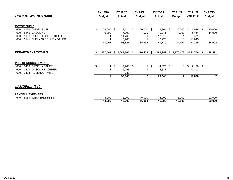|                         |          |                                     |          |                        |          |                                      |          |                                |                    |                                    |                              | FY 22/23                                                                                                       |
|-------------------------|----------|-------------------------------------|----------|------------------------|----------|--------------------------------------|----------|--------------------------------|--------------------|------------------------------------|------------------------------|----------------------------------------------------------------------------------------------------------------|
| <b>Budget</b>           |          | <b>Actual</b>                       |          | <b>Budget</b>          |          | <b>Actual</b>                        |          | <b>Budget</b>                  |                    |                                    |                              | <b>Budget</b>                                                                                                  |
| \$<br>16,000<br>41,002  |          | 7,290<br>14,763<br>18,260<br>53,827 |          | 14,000<br>34,002       | -\$      | 10,211<br>13,217<br>17,978<br>57,710 |          | 14,000<br>34,002               |                    | 5,454<br>8,471<br>11,815<br>31,256 |                              | 20,000<br>14,000<br>34,002                                                                                     |
|                         |          |                                     |          |                        |          |                                      |          |                                |                    |                                    |                              |                                                                                                                |
| \$<br>1<br>$\mathbf{2}$ | \$       | 16,253<br>787<br>35,003             |          | $\mathbf{2}$           | \$       | 14,871<br>29,546                     |          | $\blacksquare$<br>$\mathbf{2}$ | \$                 | 12,702<br>19,878                   |                              | 1<br>$\mathbf{2}$                                                                                              |
|                         |          |                                     |          |                        |          |                                      |          |                                |                    |                                    |                              |                                                                                                                |
| 14,000<br>14,000        |          | 15,000<br>15,000                    |          | 16,000<br>16,000       |          | 16,000<br>16,000                     |          | 16,000<br>16,000               |                    | $\blacksquare$<br>$\blacksquare$   |                              | 22,000<br>22,000                                                                                               |
|                         | FY 19/20 | 25,000 \$                           | FY 19/20 | 13,514 \$<br>17,963 \$ | FY 20/21 | 20,000                               | FY 20/21 | 16,304 \$<br>14,675 \$         | FY 21/22<br>20,000 | - \$                               | FY 21/22<br><b>YTD 12/31</b> | 5,516 \$<br>1,177,569 \$ 1,083,605 \$ 1,170,473 \$ 1,060,952 \$ 1,170,473 \$544,756 \$ 1,198,591<br>$7,176$ \$ |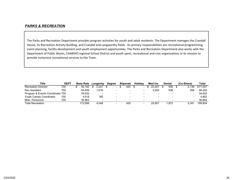## *PARKS & RECREATION*

The Parks and Recreation Department provides program activities for youth and adult residents. The Department manages the Crandall House, its Recreation Activity Building, and Crandall and Langworthy fields. Its primary responsibilities are recreational programming, event planning, facility development and youth employment opportunities. The Parks and Recreation Department also works with the Department of Public Works, CHARIHO regional School District and youth sport, recreational and civic organizations in its mission to provide numerous recreational services to the Town.

| Title                            | <b>DEPT</b> | <b>Base Rate</b> | Longevity | <b>Degree</b>            | <b>Stipends</b> | <b>Holidav</b> | <b>Med Ins</b>           | Dental                   | (Co-Share) | Total    |
|----------------------------------|-------------|------------------|-----------|--------------------------|-----------------|----------------|--------------------------|--------------------------|------------|----------|
| <b>Recreation Director</b>       | 700         | 56.182           | 2.247     | $\overline{\phantom{a}}$ | 420             |                | 22.407                   | 936                      | 5.136      | \$77.057 |
| Rec Assistant                    | 700         | 40.404           | .616      |                          |                 |                | 3.500                    | 936                      | 206        | 46.250   |
| Program & Events Coordinator 700 |             | 34.632           |           |                          |                 |                |                          | $\overline{\phantom{0}}$ |            | 34.632   |
| Youth Camps Coordinator          | 700         | 4.618            | 185       | -                        | -               | $\sim$         | $\overline{\phantom{a}}$ | $\qquad \qquad$          |            | 4.802    |
| Misc. Personnel                  | 700         | 36.862           |           |                          |                 |                | $\overline{\phantom{a}}$ |                          |            | 36.862   |
| <b>Total Recreation</b>          |             | 172.698          | 4.048     | -                        | 420             |                | 25.907                   | .872                     | 5.341      | 199.604  |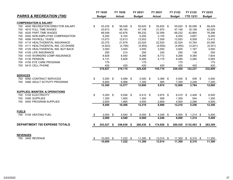|              |                                            |      | FY 19/20      |     | FY 19/20      | FY 20/21      |     | FY 20/21      | FY 21/22      | FY 21/22         |            | FY 22/23      |
|--------------|--------------------------------------------|------|---------------|-----|---------------|---------------|-----|---------------|---------------|------------------|------------|---------------|
|              | <b>PARKS &amp; RECREATION (700)</b>        |      | <b>Budget</b> |     | <b>Actual</b> | <b>Budget</b> |     | <b>Actual</b> | <b>Budget</b> | <b>YTD 12/31</b> |            | <b>Budget</b> |
|              | <b>COMPENSATION &amp; SALARY</b>           |      |               |     |               |               |     |               |               |                  |            |               |
| 700          | 4000 RECREATION DIRECTOR SALARY            | \$   | 53,235 \$     |     | 56,048 \$     | 55,620 \$     |     | 55,834 \$     | 55,620        | $$26,099$ \$     |            | 58,429        |
| 700          | 4010 FULL TIME WAGES                       |      | 43,913        |     | 46,193        | 47,148        |     | 21,970        | 47,148        | 18,156           |            | 42,020        |
| 700          | 4020 PART TIME WAGES                       |      | 68,548        |     | 62,676        | 69,232        |     | 32,556        | 69,232        | 42,864           |            | 76,296        |
| 700          | 4040 NON EMPLOYEE COMPENSATION             |      | 6,200         |     | 6,163         | 6,200         |     | 3,125         | 6,200         | 3,657            |            | 6,200         |
| 700          | 4090 PAYROLL TAXES                         |      | 13,073        |     | 12,613        | 13,553        |     | 7,559         | 13,553        | 6,509            |            | 13,412        |
| 700          | 4110 HEALTH/DENTAL INSURANCE               |      | 22,375        |     | 21,679        | 22,524        |     | 22,524        | 22,524        | 14,764           |            | 24,280        |
| 700          | 4111 HEALTH/DENTAL INS. CO-SHARE           |      | (4,923)       |     | (4,769)       | (4, 955)      |     | (4, 955)      | (4, 955)      | (3,201)          |            | (5, 341)      |
| 700          | 4120 HEALTH/DENTAL INS. BUY BACK           |      | 3,500         |     | 3,500         | 3,500         |     | 3,500         | 3,500         | 1,167            |            | 3,500         |
| 700          | 4105 LIFE INSURANCE                        |      | 250           |     | 214           | 250           |     | 240           | 250           | 138              |            | 250           |
| 700          | 4140 WORKERS COMP INSURANCE                |      | 8,928         |     | 8,550         | 9,268         |     | 8,772         | 9,268         | 9,384            |            | 7,604         |
| 700          | 4130 PENSION                               |      | 4,131         |     | 5,828         | 6,485         |     | 4,175         | 6,485         | 2,280            |            | 5,565         |
| 700          | 4150 EYE CARE PROGRAM                      |      | 175           |     |               | 175           |     |               | 175           |                  |            | 175           |
| 700          | 5410 CELL PHONE                            |      | 420           |     | 420           | 420           |     | 420           | 420           | 420              |            | 420           |
|              |                                            |      | 219,827       |     | 219,115       | 229,420       |     | 155,719       | 229,420       | 122,237          |            | 232,809       |
|              |                                            |      |               |     |               |               |     |               |               |                  |            |               |
|              | <b>SERVICES</b>                            |      |               |     |               |               |     |               |               |                  |            |               |
| 700          | 5060 CONTRACT SERVICES                     | \$   | $5,500$ \$    |     | 5,589 \$      | $5,500$ \$    |     | 5,389 \$      | 5,500         | \$<br>536        | $\sqrt{3}$ | 5,500         |
| 700          | 5466 ADULT ACTIVITY PROGRAM                |      | 6,800         |     | 6,988         | 7,300         |     | 585           | 7,300         | 3,248            |            | 7,300         |
|              |                                            |      | 12,300        |     | 12,577        | 12,800        |     | 5,974         | 12,800        | 3,784            |            | 12,800        |
|              | <b>SUPPLIES, MAINTEN. &amp; OPERATIONS</b> |      |               |     |               |               |     |               |               |                  |            |               |
| 700          | 5100 ELECTRICITY                           | \$   | $5,300$ \$    |     | 6,936 \$      | $6,410$ \$    |     | 5,674 \$      | 6,410         | \$<br>$2,408$ \$ |            | 6,500         |
| 700          | 5390 SUPPLIES                              |      | 1,300         |     | 1,805         | 1,300         |     | 506           | 1,300         | 554              |            | 1,300         |
| 700          | 5400 PROGRAM SUPPLIES                      |      | 2,800         |     | 1,665         | 4,500         |     | 2,809         | 4,500         | 2,296            |            | 4,500         |
|              |                                            |      | 9,400         |     | 10,406        | 12,210        |     | 8,989         | 12,210        | 5,258            |            | 12,300        |
| <b>FUELS</b> |                                            |      |               |     |               |               |     |               |               |                  |            |               |
|              | 700 5150 HEATING FUEL                      | \$   | 2,000         | -\$ | $4,540$ \$    | $6,000$ \$    |     | $4,246$ \$    | 6,000         | \$<br>$1,214$ \$ |            | 5,400         |
|              |                                            |      | 2,000         |     | 4,540         | 6,000         |     | 4,246         | 6,000         | 1,214            |            | 5,400         |
|              |                                            |      |               |     |               |               |     |               |               |                  |            |               |
|              | <b>DEPARTMENT 700 EXPENSE TOTALS</b>       | - \$ | 243,527       | \$  | 246,638 \$    | 260,430       | -\$ | 174,928 \$    | 260,430       | $$132,493$ \$    |            | 263,309       |
|              |                                            |      |               |     |               |               |     |               |               |                  |            |               |
|              | <b>REVENUES</b>                            |      |               |     |               |               |     |               |               |                  |            |               |
| 700          | 3400 REVENUE                               | \$   | 10,000        | \$  | $7,222$ \$    | 11,300 \$     |     | 13,014 \$     | 11,300        | \$<br>$6,310$ \$ |            | 11,300        |
|              |                                            |      | 10,000        |     | 7,222         | 11,300        |     | 13,014        | 11,300        | 6,310            |            | 11,300        |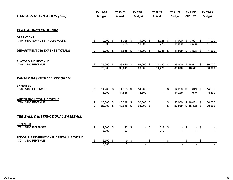| <b>PARKS &amp; RECREATION (700)</b>                              |          | FY 19/20<br><b>Budget</b> |     | FY 19/20<br><b>Actual</b> | FY 20/21<br><b>Budget</b> |        | FY 20/21<br><b>Actual</b> |              | FY 21/22<br><b>Budget</b> |            | FY 21/22<br><b>YTD 12/31</b>        |        | FY 22/23<br><b>Budget</b> |
|------------------------------------------------------------------|----------|---------------------------|-----|---------------------------|---------------------------|--------|---------------------------|--------------|---------------------------|------------|-------------------------------------|--------|---------------------------|
|                                                                  |          |                           |     |                           |                           |        |                           |              |                           |            |                                     |        |                           |
| <b>PLAYGROUND PROGRAM</b>                                        |          |                           |     |                           |                           |        |                           |              |                           |            |                                     |        |                           |
| <b>OPERATIONS</b><br>5400 SUPPLIES - PLAYGROUND<br>710           | \$       | $9,200$ \$<br>9,200       |     | $8,058$ \$<br>8,058       | 11,000 \$<br>11,000       |        | $3,728$ \$<br>3,728       |              | 11,000<br>11,000          | $\sqrt{3}$ | 7,528 \$<br>7,528                   |        | 11,000<br>11,000          |
| <b>DEPARTMENT 710 EXPENSE TOTALS</b>                             |          | $9,200$ \$                |     | $8,058$ \$                | $11,000$ \$               |        | $3,728$ \$                |              | 11,000                    | \$         | $7,528$ \$                          |        | 11,000                    |
| <b>PLAYGROUND REVENUE</b><br>710 3400 REVENUE                    | \$       | 75,000 \$<br>75,000       |     | 36,619 \$<br>36,619       | 86,000 \$<br>86,000       |        | 14,420 \$<br>14,420       |              | 86,000<br>86,000          |            | $$16,541$ \$<br>16,541              |        | 86,000<br>86,000          |
| <b>WINTER BASKETBALL PROGRAM</b>                                 |          |                           |     |                           |                           |        |                           |              |                           |            |                                     |        |                           |
| <b>EXPENSES</b><br>720 5400 EXPENSES                             | S.       | $14,200$ \$<br>14,200     |     | 14,856 \$<br>14,856       | $14,200$ \$<br>14,200     |        | $\sim$                    | S.           | 14,200 \$<br>14,200       |            | 649<br>649                          | - \$   | 14,200<br>14,200          |
| <b>WINTER BASKETBALL REVENUE</b><br>3400 REVENUE<br>720          | \$<br>\$ | 20,000 \$<br>$20,000$ \$  |     | 16,048 \$<br>16,048 \$    | 20,000 \$<br>$20,000$ \$  |        | $\sim$                    | $-$ \$<br>\$ | 20,000                    |            | $$16,432$ \$<br>20,000 \$ 16,432 \$ |        | 20,000<br>20,000          |
| TEE-BALL & INSTRUCTIONAL BASEBALL                                |          |                           |     |                           |                           |        |                           |              |                           |            |                                     |        |                           |
| <b>EXPENSES</b><br>5400 EXPENSES<br>721                          | \$       | 2,000<br>2,000            | -\$ | 23<br>$\overline{23}$     | \$                        | $-$ \$ | 217<br>$\overline{217}$   | \$           |                           | - \$       |                                     | - \$   |                           |
| TEE-BALL & INSTRUCTIONAL BASEBALL REVENUE<br>3400 REVENUE<br>721 | \$       | $6,500$ \$<br>6,500       |     | 9<br>9                    | \$                        | $-$ \$ | $\sim$                    | \$           |                           | - \$       |                                     | $-$ \$ |                           |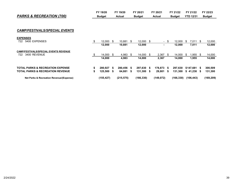| <b>PARKS &amp; RECREATION (700)</b> | Budget      | Actual       | <b>Budget</b> | Actual   | Budaet   | <b>YTD 12/31</b> | <b>Budget</b> |
|-------------------------------------|-------------|--------------|---------------|----------|----------|------------------|---------------|
|                                     | EV<br>19/20 | cv.<br>19/20 | FY 20/21      | FY 20/21 | FY 21/22 | FY 21/22         | FY 22/23      |

#### *CAMP/FESTIVALS/SPECIAL EVENTS*

| Net Parks & Recreation Revenue/(Expense)                            |    | (155,427) |    | (215, 575) |      | (166, 330) |      | (149, 072)     |      | (166, 330) |    | (106,443) |      | (169, 209) |
|---------------------------------------------------------------------|----|-----------|----|------------|------|------------|------|----------------|------|------------|----|-----------|------|------------|
| <b>TOTAL PARKS &amp; RECREATION REVENUE</b>                         | S  | 125.500   | S  | 64,881     | - 56 | 131,300    | - 56 | 29.801         | S.   | 131,300    | S. | 41.238    | - 5  | 131,300    |
| <b>TOTAL PARKS &amp; RECREATION EXPENSE</b>                         |    | 280.927   | S. | 280.456 \$ |      | 297,630    | - 56 | 178,873        | - \$ | 297,630    |    | \$147,681 | - \$ | 300,509    |
|                                                                     |    | 14.000    |    | 4,983      |      | 14.000     |      | 2,367          |      | 14.000     |    | 1,955     |      | 14,000     |
| <b>CAMP/FESTIVALS/SPECIAL EVENTS REVENUE</b><br>3400 REVENUE<br>722 |    | 14,000    |    | 4,983      |      | 14.000     | - \$ | 2.367          | S    | 14.000     | S  | .955      | - \$ | 14,000     |
|                                                                     |    | 12,000    |    | 10.881     |      | 12,000     |      |                |      | 12,000     |    | 7,011     |      | 12,000     |
| <b>EXPENSES</b><br>5400 EXPENSES<br>722                             | £. | 12.000    |    | 10.881     | S    | 12.000 \$  |      | $\blacksquare$ | S    | 12.000     | Ъ  | 7.011     | - S  | 12,000     |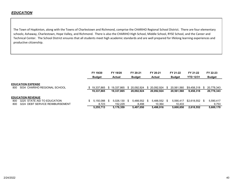The Town of Hopkinton, along with the Towns of Charlestown and Richmond, comprise the CHARIHO Regional School District. There are four elementary schools; Ashaway, Charlestown, Hope Valley, and Richmond. There is also the CHARIHO High School, Middle School, RYSE School, and the Career and Technical Center. The School District ensures that all students meet high academic standards and are well prepared for lifelong learning experiences and productive citizenship.

|      |                          |                                 | FY 19/20<br><b>Budget</b> | FY 19/20<br><b>Actual</b> |      | FY 20-21<br><b>Budget</b> |    | FY 20-21<br><b>Actual</b> |     | FY 21-22<br><b>Budget</b> | FY 21-22<br><b>YTD 12/31</b> |    | FY 22-23<br><b>Budget</b> |
|------|--------------------------|---------------------------------|---------------------------|---------------------------|------|---------------------------|----|---------------------------|-----|---------------------------|------------------------------|----|---------------------------|
| 800. | <b>EDUCATION EXPENSE</b> | 5034 CHARIHO REGIONAL SCHOOL    | 19.337.865                | 19.337.865                |      | 20.092.924                | S. | 20.092.924                | \$. | 20.561.560                | \$9.458.318                  |    | 20.778.343                |
|      |                          |                                 | 19,337,865                | 19,337,865                |      | 20,092,924                |    | 20,092,924                |     | 20,561,560                | 9,458,318                    |    | 20,778,343                |
|      | <b>EDUCATION REVENUE</b> |                                 |                           |                           |      |                           |    |                           |     |                           |                              |    |                           |
| 800  |                          | 3225 STATE AID TO EDUCATION     | 5.150.088                 | 5.026.130                 | - \$ | 5.488.552                 | S  | 5.488.552                 | -96 | 5.590.417                 | \$2.618.552                  | -S | 5,590,417                 |
| 800  |                          | 3224 DEBT SERVICE REIMBURSEMENT | 8,723                     | 152.229                   |      | 8.498                     |    | 10.364                    |     | 10.433                    |                              |    | 9,753                     |
|      |                          |                                 | 5.255.713                 | 5.178.359                 |      | 5.497.050                 |    | 5.498.916                 |     | 5.600.850                 | 2.618.552                    |    | 5.600.170                 |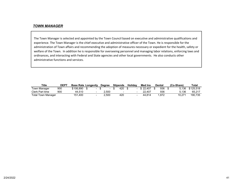#### *TOWN MANAGER*

The Town Manager is selected and appointed by the Town Council based on executive and administrative qualifications and experience. The Town Manager is the chief executive and administrative officer of the Town. He is responsible for the administration of Town affairs and recommending the adoption of measures necessary or expedient for the health, safety or welfare of the Town. In addition he is responsible for overseeing personnel and managing labor relations, enforcing laws and ordinances, and interacting with Federal and State agencies and other local governments. He also conducts other administrative functions and services.

| <b>Title</b>              | <b>DEP1</b> | <b>Base Rate Longevity</b> | Dearee | <b>Stipends</b> | <b>Holidav</b> | <b>Med Ins</b> | Dental | (Co-Share) | Total     |
|---------------------------|-------------|----------------------------|--------|-----------------|----------------|----------------|--------|------------|-----------|
| Town Manager              | 900         | \$106.890                  |        | 420             |                | \$22.407       | 936    | 5.136      | \$125.518 |
| Clerk Part time           | 900         | 44.510                     | 2.500  |                 |                | 22.407         | 936    | 5.136      | 65.217    |
| <b>Total Town Manager</b> |             | 151.400                    | 2.500  | 420             |                | 44.814         | .872   | 10.271     | 190,735   |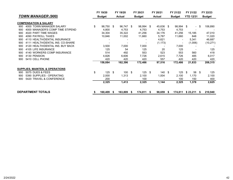|     |                                            |     | FY 19/20      |     | FY 19/20          |   | FY 20/21      | FY 20/21      | FY 21/22      | FY 21/22         |      | FY 22/23      |
|-----|--------------------------------------------|-----|---------------|-----|-------------------|---|---------------|---------------|---------------|------------------|------|---------------|
|     | <b>TOWN MANAGER (900)</b>                  |     | <b>Budget</b> |     | <b>Actual</b>     |   | <b>Budget</b> | <b>Actual</b> | <b>Budget</b> | <b>YTD 12/31</b> |      | <b>Budget</b> |
|     | <b>COMPENSATION &amp; SALARY</b>           |     |               |     |                   |   |               |               |               |                  |      |               |
| 900 | 4000 TOWN MANAGER SALARY                   | \$  | 98,750 \$     |     | 96,747 \$         |   | 98,994 \$     | 45,636 \$     | 98,994 \$     | $\blacksquare$   | \$   | 106,890       |
| 900 | 4000 MANAGER'S COMP TIME STIPEND           |     | 4,800         |     | 4,753             |   | 4,753         | 4,753         | 4,753         |                  |      |               |
| 900 | 4020 PART TIME WAGES                       |     | 34,304        |     | 35,322            |   | 41,256        | 34,176        | 41,256        | 15,185           |      | 47,010        |
| 900 | 4090 PAYROLL TAXES                         |     | 10,846        |     | 11,002            |   | 11,660        | 5,787         | 11,660        | 848              |      | 11,020        |
| 900 | 4110 HEALTH/DENTAL INSURANCE               |     |               |     |                   |   |               | 4,621         |               | 5,341            |      | 46,687        |
| 900 | 4111 HEALTH/DENTAL INS. CO-SHARE           |     |               |     |                   |   |               | (1, 173)      |               | (1,006)          |      | (10, 271)     |
| 900 | 4120 HEALTH/DENTAL INS, BUY BACK           |     | 3,500         |     | 7,000             |   | 7,000         |               | 7,000         |                  |      |               |
| 900 | 4105 LIFE INSURANCE                        |     | 125           |     | 54                |   | 125           | 20            | 125           |                  |      | 125           |
| 900 | 4140 WORKERS COMP INSURANCE                |     | 514           |     | 492               |   | 553           | 523           | 553           | 560              |      | 418           |
| 900 | 4130 PENSION                               |     | 4,826         |     | 6,606             |   | 7,726         | 2,615         | 7,726         | 485              |      | 6,017         |
| 900 | 5410 CELL PHONE                            |     | 420           |     | 420               |   | 420           | 557           | 420           | 420              |      | 420           |
|     |                                            |     | 158,084       |     | 162,396           |   | 172,486       | 97,516        | 172,486       | 21,833           |      | 208,315       |
|     | <b>SUPPLIES, MAINTEN. &amp; OPERATIONS</b> |     |               |     |                   |   |               |               |               |                  |      |               |
| 900 | <b>5075 DUES &amp; FEES</b>                | \$  | 125           | -\$ | $100 \text{ }$ \$ |   | $125$ \$      | 140S          | 125           | \$<br>58         | - \$ | 125           |
| 900 | 5390 SUPPLIES - OPERATING                  |     | 2,000         |     | 1,313             |   | 2,100         | 1,004         | 2,100         | 1,170            |      | 2,100         |
| 900 | 5420 TRAVEL & CONFERENCE                   |     | 200           |     |                   |   | 100           |               | 100           | 150              |      | 400           |
|     |                                            |     | 2,325         |     | 1,413             |   | 2,325         | 1,144         | 2,325         | 1,378            |      | 2,625         |
|     | <b>DEPARTMENT TOTALS</b>                   | \$. | 160,409       | S   | 163,809           | S | 174,811 \$    | 98,659 \$     | 174,811       | \$23,211         | - \$ | 210,940       |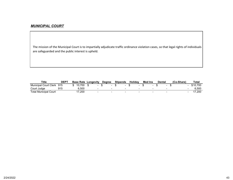#### *MUNICIPAL COURT*

The mission of the Municipal Court is to impartially adjudicate traffic ordinance violation cases, so that legal rights of individuals are safeguarded and the public interest is upheld.

| <b>Title</b>                 | DEP <sup>7</sup> | <b>Base Rate</b> | Longevity |                          | <b>Dearee</b> |                          | <b>Stipends</b> |        | <b>Holidav</b> | <b>Med Ins</b> | <b>Dental</b> |                          | (Co-Share) |                          | <b>Total</b> |
|------------------------------|------------------|------------------|-----------|--------------------------|---------------|--------------------------|-----------------|--------|----------------|----------------|---------------|--------------------------|------------|--------------------------|--------------|
| <b>Municipal Court Clerk</b> | 915              | 0.700            |           |                          |               |                          |                 |        |                |                |               |                          |            |                          | 700          |
| Court Judge                  |                  | រ.50C            |           | $\overline{\phantom{a}}$ |               | $\overline{\phantom{a}}$ |                 | $\sim$ |                | $\sim$         |               | $\overline{\phantom{0}}$ |            | $\overline{\phantom{a}}$ | .500         |
| <b>Total Municipal Court</b> |                  | 200.'            |           | $\overline{\phantom{a}}$ |               | $\overline{\phantom{a}}$ |                 |        |                |                |               |                          |            |                          | .200         |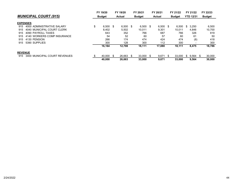|                |                               | FY 19/20      |    | FY 19/20      |    | FY 20/21      | FY 20/21      |     | FY 21/22      |     | FY 21/22         | FY 22/23      |
|----------------|-------------------------------|---------------|----|---------------|----|---------------|---------------|-----|---------------|-----|------------------|---------------|
|                | <b>MUNICIPAL COURT (915)</b>  | <b>Budget</b> |    | <b>Actual</b> |    | <b>Budget</b> | <b>Actual</b> |     | <b>Budget</b> |     | <b>YTD 12/31</b> | <b>Budget</b> |
|                | <b>EXPENSES</b>               |               |    |               |    |               |               |     |               |     |                  |               |
| 915            | 4000 ADMINISTRATIVE SALARY    | \$<br>6,500   | -S | $6,500$ \$    |    | $6.500$ \$    | 6,500         | -SS | 6,500         | S.  | 3,250            | 6,500         |
| 915            | 4040 MUNICIPAL COURT CLERK    | 8.402         |    | 5.502         |    | 10.011        | 9.301         |     | 10.011        |     | 4.846            | 10,700        |
| 915            | 4090 PAYROLL TAXES            | 643           |    | 352           |    | 766           | 687           |     | 766           |     | 326              | 819           |
| 915            | 4140 WORKERS COMP INSURANCE   | 54            |    | 52            |    | 60            | 57            |     | 60            |     | 61               | -50           |
| 915            | 4130 PENSION                  | 266           |    | 174           |    | 474           | 424           |     | 474           |     | (8)              | 418           |
| 915            | 5390 SUPPLIES                 | 300           |    | 128           |    | 300           | 112           |     | 300           |     |                  | 300           |
|                |                               | 16,164        |    | 12,708        |    | 18,111        | 17,080        |     | 18,111        |     | 8,475            | 18,786        |
| <b>REVENUE</b> |                               |               |    |               |    |               |               |     |               |     |                  |               |
| 915            | 3400 MUNICIPAL COURT REVENUES | \$<br>40.000  | \$ | 26.663        | £. | 33,000 \$     | 9.671         | -S  | 33.000        | -SS | $9.564$ \$       | 30,000        |
|                |                               | 40.000        |    | 26.663        |    | 33,000        | 9.671         |     | 33,000        |     | 9.564            | 30,000        |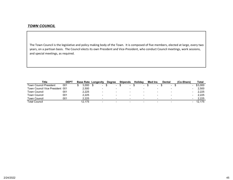#### *TOWN COUNCIL*

The Town Council is the legislative and policy making body of the Town. It is composed of five members, elected at large, every two years, on <sup>a</sup> partisan basis. The Council elects its own President and Vice‐President, who conduct Council meetings, work sessions, and special meetings, as required.

| Title                           | <b>DEPT</b> |        | <b>Base Rate Longevity</b> | <b>Dearee</b> | <b>Stipends</b>          | <b>Holidav</b> | <b>Med Ins</b> |                          | <b>Dental</b>            | (Co-Share) | Total   |
|---------------------------------|-------------|--------|----------------------------|---------------|--------------------------|----------------|----------------|--------------------------|--------------------------|------------|---------|
| Town Council President          | 001         | 3.000  | $\overline{\phantom{0}}$   | $\sim$        | $\overline{\phantom{a}}$ | $\sim$         |                | $\sim$                   | $\overline{\phantom{0}}$ |            | \$3.000 |
| Town Council Vice President 001 |             | 2.500  | -                          |               | $\overline{\phantom{a}}$ |                |                | $\blacksquare$           |                          |            | 2.500   |
| Town Council                    | 001         | 2.225  | -                          |               |                          |                |                | $\qquad \qquad$          | $\overline{\phantom{0}}$ |            | 2.225   |
| Town Council                    | 001         | 2.225  |                            |               |                          |                |                | $\qquad \qquad$          | $\overline{\phantom{0}}$ |            | 2.225   |
| <b>Town Council</b>             | 001         | 2.225  |                            |               |                          |                |                | $\sim$                   |                          |            | 2.225   |
| Total Council                   |             | 12.175 |                            |               |                          |                |                | $\overline{\phantom{a}}$ |                          |            | 12.175  |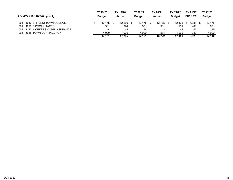|                                    | FY 19/20      | FY 19/20      | FY 20/21      | FY 20/21      | FY 21/22           | FY 21/22         | FY 22/23      |
|------------------------------------|---------------|---------------|---------------|---------------|--------------------|------------------|---------------|
| <b>TOWN COUNCIL (001)</b>          | <b>Budget</b> | <b>Actual</b> | <b>Budget</b> | <b>Actual</b> | <b>Budget</b>      | <b>YTD 12/31</b> | <b>Budget</b> |
|                                    |               |               |               |               |                    |                  |               |
| 4040 STIPEND: TOWN COUNCIL<br>001  | 12.175        | 12.269        | 12.175        | $12.175$ \$   | 12,175 \$ 6,088 \$ |                  | 12.175        |
| 4090 PAYROLL TAXES<br>001          | 931           | 974           | 931           | 931           | 931                | 466              | 931           |
| 4140 WORKERS COMP INSURANCE<br>001 | 44            | 42            | 44            | 42            | 44                 | 45               | 35            |
| 5065 TOWN CONTINGENCY<br>001       | 4.000         | 4.000         | 4.000         | 574           | 4.000              | 330              | 4.000         |
|                                    | 17.151        | 17.285        | 17.151        | 13.722        | 17.151             | 6.929            | 17.142        |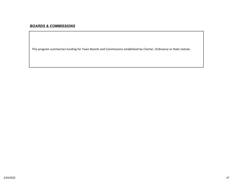## *BOARDS & COMMISSIONS*

This program summarizes funding for Town Boards and Commissions established by Charter, Ordinance or State statute.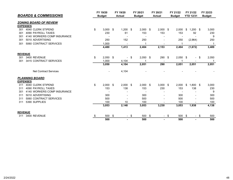| <b>BOARDS &amp; COMMISSIONS</b>    | FY 19/20<br><b>Budget</b> |                          | FY 19/20<br><b>Actual</b>      |      | FY 20/21<br><b>Budget</b> |    | FY 20/21<br><b>Actual</b> |      | FY 21/22<br><b>Budget</b> | FY 21/22<br><b>YTD 12/31</b> |                | FY 22/23<br><b>Budget</b> |       |
|------------------------------------|---------------------------|--------------------------|--------------------------------|------|---------------------------|----|---------------------------|------|---------------------------|------------------------------|----------------|---------------------------|-------|
|                                    |                           |                          |                                |      |                           |    |                           |      |                           |                              |                |                           |       |
| <b>ZONING BOARD OF REVIEW</b>      |                           |                          |                                |      |                           |    |                           |      |                           |                              |                |                           |       |
| <b>EXPENSES</b>                    |                           |                          |                                |      |                           |    |                           |      |                           |                              |                |                           |       |
| 301 4040 CLERK STIPEND             | \$                        | $3,000$ \$               | $1,200$ \$                     |      | $2,000$ \$                |    | $2,000$ \$                |      | 2,000                     | \$                           | $1,200$ \$     |                           | 3,000 |
| 4090 PAYROLL TAXES<br>301          |                           | 230                      | 61                             |      | 153                       |    | 153                       |      | 153                       |                              | 92             |                           | 230   |
| 4140 WORKERS COMP INSURANCE<br>301 |                           |                          |                                |      |                           |    |                           |      |                           |                              |                |                           | 9     |
| 5010 ADVERTISING<br>301            |                           | 250                      | 152                            |      | 250                       |    |                           |      | 250                       |                              | (2,964)        |                           | 250   |
| 5060 CONTRACT SERVICES<br>301      |                           | 1,000                    |                                |      | 1                         |    |                           |      | -1                        |                              |                |                           | -1    |
|                                    |                           | 4,480                    | 1,413                          |      | 2,404                     |    | 2,153                     |      | 2,404                     |                              | (1,672)        |                           | 3,489 |
| <b>REVENUE</b>                     |                           |                          |                                |      |                           |    |                           |      |                           |                              |                |                           |       |
| 3400 REVENUE<br>301                | \$                        | $2,050$ \$               |                                | - \$ | $2,050$ \$                |    | 290                       | - \$ | $2,050$ \$                |                              | - \$           |                           | 2,050 |
| 3415 CONTRACT SERVICES<br>301      |                           | 1,000                    | 4,104                          |      |                           |    |                           |      |                           |                              |                |                           | 1     |
|                                    |                           | 3,050                    | 4,104                          |      | 2,051                     |    | 290                       |      | 2,051                     |                              | 2,051          |                           | 2,051 |
| <b>Net Contract Services</b>       |                           | $\overline{\phantom{a}}$ | 4,104                          |      |                           |    |                           |      |                           |                              |                |                           |       |
| <b>PLANNING BOARD</b>              |                           |                          |                                |      |                           |    |                           |      |                           |                              |                |                           |       |
| <b>EXPENSES</b>                    |                           |                          |                                |      |                           |    |                           |      |                           |                              |                |                           |       |
| 4040 CLERK STIPEND<br>311          | \$                        | $2,000$ \$               | $2,000$ \$                     |      | $2,000$ \$                |    | $3,000$ \$                |      | 2,000                     | \$                           | $1,800$ \$     |                           | 3,000 |
| 4090 PAYROLL TAXES<br>311          |                           | 153                      | 138                            |      | 153                       |    | 230                       |      | 153                       |                              | 138            |                           | 230   |
| 4140 WORKERS COMP INSURANCE<br>301 |                           |                          |                                |      |                           |    |                           |      |                           |                              |                |                           | 9     |
| 5010 ADVERTISING<br>311            |                           | 300                      |                                |      | 300                       |    |                           |      | 300                       |                              |                |                           | 300   |
| 5060 CONTRACT SERVICES<br>311      |                           | 500                      |                                |      | 500                       |    |                           |      | 500                       |                              |                |                           | 500   |
| 5390 SUPPLIES<br>311               |                           | 100                      | 10                             |      | 100                       |    |                           |      | 100                       |                              |                |                           | 100   |
|                                    |                           | 3,053                    | 2,148                          |      | 3,053                     |    | 3,230                     |      | 3,053                     |                              | 1,938          |                           | 4,138 |
| <b>REVENUE</b>                     |                           |                          |                                |      |                           |    |                           |      |                           |                              |                |                           |       |
| 3400 REVENUE<br>311                | \$                        | 500                      | \$<br>$\overline{\phantom{0}}$ | \$   | 500                       | \$ | $\sim$                    | \$   | 500                       | \$                           | $\sim$         | \$                        | 500   |
|                                    |                           | 500                      |                                |      | 500                       |    |                           |      | 500                       |                              | $\blacksquare$ |                           | 500   |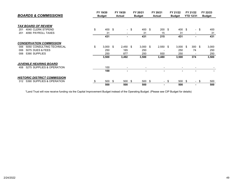| <b>BOARDS &amp; COMMISSIONS</b>     |    | FY 19/20<br><b>Budget</b> |    | FY 19/20<br><b>Actual</b>                                                                                                                         |      | FY 20/21<br><b>Budget</b> |    | FY 20/21<br><b>Actual</b> |      | FY 21/22<br><b>Budget</b> |  | FY 21/22         |      | FY 22/23      |  |
|-------------------------------------|----|---------------------------|----|---------------------------------------------------------------------------------------------------------------------------------------------------|------|---------------------------|----|---------------------------|------|---------------------------|--|------------------|------|---------------|--|
|                                     |    |                           |    |                                                                                                                                                   |      |                           |    |                           |      |                           |  | <b>YTD 12/31</b> |      | <b>Budget</b> |  |
| <b>TAX BOARD OF REVIEW</b>          |    |                           |    |                                                                                                                                                   |      |                           |    |                           |      |                           |  |                  |      |               |  |
| 4040 CLERK STIPEND                  | \$ | 400 \$                    |    |                                                                                                                                                   |      | 400 \$                    |    |                           |      |                           |  |                  |      |               |  |
| 201                                 |    |                           |    |                                                                                                                                                   | - \$ |                           |    | $200$ \$                  |      | $400*$                    |  |                  | - \$ | 400           |  |
| 4090 PAYROLL TAXES<br>201           |    | 31                        |    | $\hskip1.6pt\hskip1.6pt\hskip1.6pt\hskip1.6pt\hskip1.6pt\hskip1.6pt\hskip1.6pt\hskip1.6pt\hskip1.6pt\hskip1.6pt\hskip1.6pt\hskip1.6pt\hskip1.6pt$ |      | 31                        |    | 15                        |      | 31                        |  |                  |      | 31            |  |
|                                     |    | 431                       |    | ٠                                                                                                                                                 |      | 431                       |    | 215                       |      | 431                       |  | ٠                |      | 431           |  |
| <b>CONSERVATION COMMISSION</b>      |    |                           |    |                                                                                                                                                   |      |                           |    |                           |      |                           |  |                  |      |               |  |
| 5050 CONSULTING TECHNICAL<br>006    | \$ | $3,000$ \$                |    | $2,450$ \$                                                                                                                                        |      | $3,000$ \$                |    | $2,550$ \$                |      | $3,000$ \$                |  | $300*$           |      | 3,000         |  |
| 5075 DUES & FEES<br>006             |    | 250                       |    | 165                                                                                                                                               |      | 250                       |    |                           |      | 250                       |  | 74               |      | 250           |  |
| 5390 SUPPLIES<br>006                |    | 250                       |    | 877                                                                                                                                               |      | 250                       |    | 930                       |      | 250                       |  |                  |      | 250           |  |
|                                     |    | 3,500                     |    | 3,492                                                                                                                                             |      | 3,500                     |    | 3,480                     |      | 3,500                     |  | 374              |      | 3,500         |  |
| <b>JUVENILE HEARING BOARD</b>       |    |                           |    |                                                                                                                                                   |      |                           |    |                           |      |                           |  |                  |      |               |  |
| 5275 SUPPLIES & OPERATION<br>408    |    | 100                       |    | $\overline{\phantom{a}}$                                                                                                                          |      |                           |    | $\blacksquare$            |      | $\,$                      |  |                  |      |               |  |
|                                     |    | 100                       |    |                                                                                                                                                   |      |                           |    |                           |      |                           |  |                  |      |               |  |
| <b>HISTORIC DISTRICT COMMISSION</b> |    |                           |    |                                                                                                                                                   |      |                           |    |                           |      |                           |  |                  |      |               |  |
| 5390 SUPPLIES & OPERATION<br>312    |    | 500                       | -S | 500                                                                                                                                               | -\$  | 500                       | \$ |                           | - \$ | 500 \$                    |  | $\blacksquare$   | - \$ | 500           |  |
|                                     |    | 500                       |    | 500                                                                                                                                               |      | 500                       |    |                           |      | 500                       |  |                  |      | 500           |  |

\*Land Trust will now receive funding via the Capital Improvement Budget instead of the Operating Budget. (Please see CIP Budget for details)